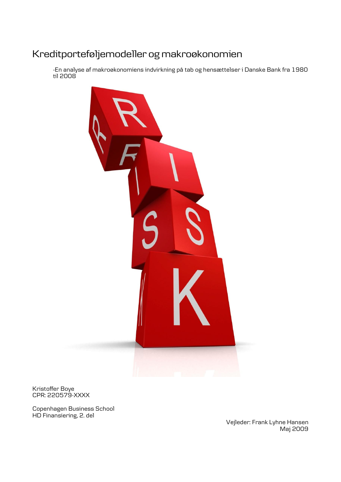# Kreditporteføljemodeller og makroøkonomien

-En analyse af makroøkonomiens indvirkning på tab og hensættelser i Danske Bank fra 1980 til 2008



Kristoffer Boye CPR: 220579-XXXX

Copenhagen Business School HD Finansiering, 2. del

> Vejleder: Frank Lyhne Hansen Maj 2009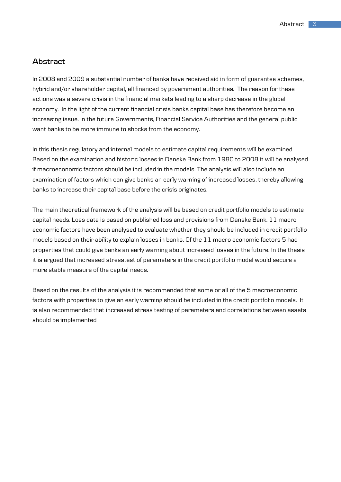# **Abstract**

In 2008 and 2009 a substantial number of banks have received aid in form of guarantee schemes, hybrid and/or shareholder capital, all financed by government authorities. The reason for these actions was a severe crisis in the financial markets leading to a sharp decrease in the global economy. In the light of the current financial crisis banks capital base has therefore become an increasing issue. In the future Governments, Financial Service Authorities and the general public want banks to be more immune to shocks from the economy.

In this thesis regulatory and internal models to estimate capital requirements will be examined. Based on the examination and historic losses in Danske Bank from 1980 to 2008 it will be analysed if macroeconomic factors should be included in the models. The analysis will also include an examination of factors which can give banks an early warning of increased losses, thereby allowing banks to increase their capital base before the crisis originates.

The main theoretical framework of the analysis will be based on credit portfolio models to estimate capital needs. Loss data is based on published loss and provisions from Danske Bank. 11 macro economic factors have been analysed to evaluate whether they should be included in credit portfolio models based on their ability to explain losses in banks. Of the 11 macro economic factors 5 had properties that could give banks an early warning about increased losses in the future. In the thesis it is argued that increased stresstest of parameters in the credit portfolio model would secure a more stable measure of the capital needs.

Based on the results of the analysis it is recommended that some or all of the 5 macroeconomic factors with properties to give an early warning should be included in the credit portfolio models. It is also recommended that increased stress testing of parameters and correlations between assets should be implemented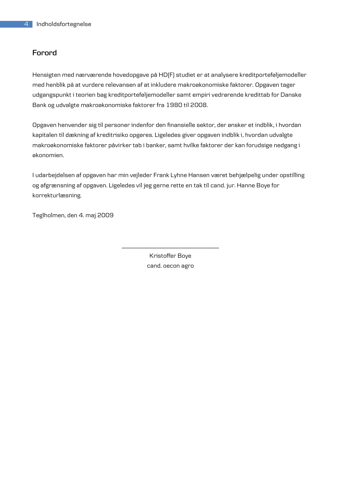# **Forord**

Hensigten med nærværende hovedopgave på HD(F) studiet er at analysere kreditporteføljemodeller med henblik på at vurdere relevansen af at inkludere makroøkonomiske faktorer. Opgaven tager udgangspunkt i teorien bag kreditporteføljemodeller samt empiri vedrørende kredittab for Danske Bank og udvalgte makroøkonomiske faktorer fra 1980 til 2008.

Opgaven henvender sig til personer indenfor den finansielle sektor, der ønsker et indblik, i hvordan kapitalen til dækning af kreditrisiko opgøres. Ligeledes giver opgaven indblik i, hvordan udvalgte makroøkonomiske faktorer påvirker tab i banker, samt hvilke faktorer der kan forudsige nedgang i økonomien.

I udarbejdelsen af opgaven har min vejleder Frank Lyhne Hansen været behjælpelig under opstilling og afgrænsning af opgaven. Ligeledes vil jeg gerne rette en tak til cand. jur. Hanne Boye for korrekturlæsning.

Teglholmen, den 4. maj 2009

Kristoffer Boye cand. oecon agro

\_\_\_\_\_\_\_\_\_\_\_\_\_\_\_\_\_\_\_\_\_\_\_\_\_\_\_\_\_\_\_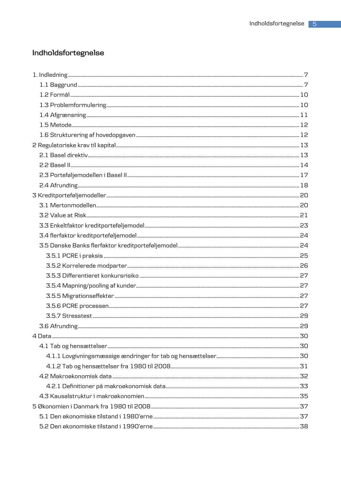# Indholdsfortegnelse

| 3.6 Afrunding. | 29 |
|----------------|----|
|                |    |
|                |    |
|                |    |
|                |    |
|                |    |
|                |    |
|                |    |
|                |    |
|                |    |
|                |    |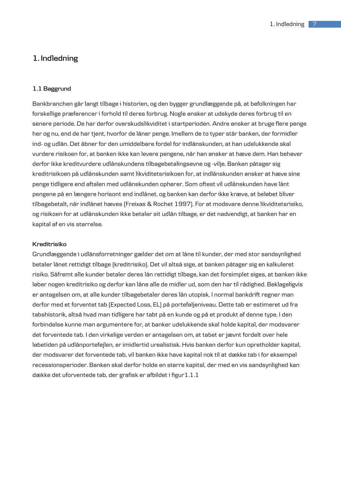# **1. Indledning**

#### **1.1 Baggrund**

Bankbranchen går langt tilbage i historien, og den bygger grundlæggende på, at befolkningen har forskellige præferencer i forhold til deres forbrug. Nogle ønsker at udskyde deres forbrug til en senere periode. De har derfor overskudslikviditet i startperioden. Andre ønsker at bruge flere penge her og nu, end de har tjent, hvorfor de låner penge. Imellem de to typer står banken, der formidler ind- og udlån. Det åbner for den umiddelbare fordel for indlånskunden, at han udelukkende skal vurdere risikoen for, at banken ikke kan levere pengene, når han ønsker at hæve dem. Han behøver derfor ikke kreditvurdere udlånskundens tilbagebetalingsevne og -vilje. Banken påtager sig kreditrisikoen på udlånskunden samt likviditetsrisikoen for, at indlånskunden ønsker at hæve sine penge tidligere end aftalen med udlånskunden ophører. Som oftest vil udlånskunden have lånt pengene på en længere horisont end indlånet, og banken kan derfor ikke kræve, at beløbet bliver tilbagebetalt, når indlånet hæves (Freixas & Rochet 1997). For at modsvare denne likviditetsrisiko, og risikoen for at udlånskunden ikke betaler sit udlån tilbage, er det nødvendigt, at banken har en kapital af en vis størrelse.

#### **Kreditrisiko**

Grundlæggende i udlånsforretninger gælder det om at låne til kunder, der med stor sandsynlighed betaler lånet rettidigt tilbage (kreditrisiko). Det vil altså sige, at banken påtager sig en kalkuleret risiko. Såfremt alle kunder betaler deres lån rettidigt tilbage, kan det forsimplet siges, at banken ikke løber nogen kreditrisiko og derfor kan låne alle de midler ud, som den har til rådighed. Beklageligvis er antagelsen om, at alle kunder tilbagebetaler deres lån utopisk. I normal bankdrift regner man derfor med et forventet tab (Expected Loss, EL) på porteføljeniveau. Dette tab er estimeret ud fra tabshistorik, altså hvad man tidligere har tabt på en kunde og på et produkt af denne type. I den forbindelse kunne man argumentere for, at banker udelukkende skal holde kapital, der modsvarer det forventede tab. I den virkelige verden er antagelsen om, at tabet er jævnt fordelt over hele løbetiden på udlånporteføjlen, er imidlertid urealistisk. Hvis banken derfor kun opretholder kapital, der modsvarer det forventede tab, vil banken ikke have kapital nok til at dække tab i for eksempel recessionsperioder. Banken skal derfor holde en større kapital, der med en vis sandsynlighed kan dække det uforventede tab, der grafisk er afbildet i figur1.1.1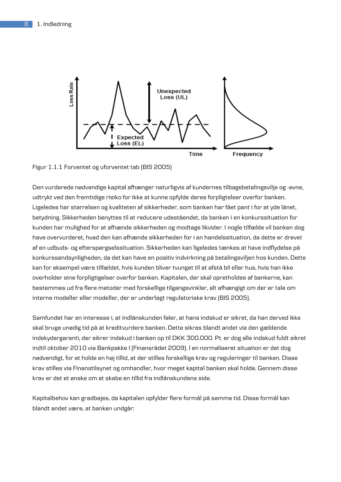

Figur 1.1.1 Forventet og uforventet tab (BIS 2005)

Den vurderede nødvendige kapital afhænger naturligvis af kundernes tilbagebetalingsvilje og -evne, udtrykt ved den fremtidige risiko for ikke at kunne opfylde deres forpligtelser overfor banken. Ligeledes har størrelsen og kvaliteten af sikkerheder, som banken har fået pant i for at yde lånet, betydning. Sikkerheden benyttes til at reducere udeståendet, da banken i en konkurssituation for kunden har mulighed for at afhænde sikkerheden og modtage likvider. I nogle tilfælde vil banken dog have overvurderet, hvad den kan afhænde sikkerheden for i en handelssituation, da dette er drevet af en udbuds- og efterspørgselssituation. Sikkerheden kan ligeledes tænkes at have indflydelse på konkurssandsynligheden, da det kan have en positiv indvirkning på betalingsviljen hos kunden. Dette kan for eksempel være tilfældet, hvis kunden bliver tvunget til at afstå bil eller hus, hvis han ikke overholder sine forpligtigelser overfor banken. Kapitalen, der skal opretholdes af bankerne, kan bestemmes ud fra flere metoder med forskellige tilgangsvinkler, alt afhængigt om der er tale om interne modeller eller modeller, der er underlagt regulatoriske krav (BIS 2005).

Samfundet har en interesse i, at indlånskunden føler, at hans indskud er sikret, da han derved ikke skal bruge unødig tid på at kreditvurdere banken. Dette sikres blandt andet via den gældende indskydergaranti, der sikrer indskud i banken op til DKK 300.000. Pt. er dog alle indskud fuldt sikret indtil oktober 2010 via Bankpakke I (Finansrådet 2009). I en normaliseret situation er det dog nødvendigt, for at holde en høj tillid, at der stilles forskellige krav og reguleringer til banken. Disse krav stilles via Finanstilsynet og omhandler, hvor meget kapital banken skal holde. Gennem disse krav er det et ønske om at skabe en tillid fra indlånskundens side.

Kapitalbehov kan gradbøjes, da kapitalen opfylder flere formål på samme tid. Disse formål kan blandt andet være, at banken undgår: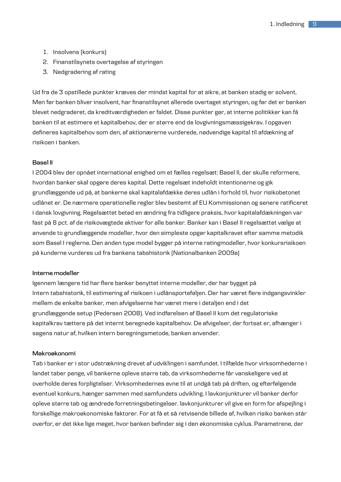- 1. Insolvens (konkurs)
- 2. Finanstilsynets overtagelse af styringen
- 3. Nedgradering af rating

Ud fra de 3 opstillede punkter kræves der mindst kapital for at sikre, at banken stadig er solvent, Men før banken bliver insolvent, har finanstilsynet allerede overtaget styringen, og før det er banken blevet nedgraderet, da kreditværdigheden er faldet. Disse punkter gør, at interne politikker kan få banken til at estimere et kapitalbehov, der er større end de lovgivningsmæssigekrav. I opgaven defineres kapitalbehov som den, af aktionærerne vurderede, nødvendige kapital til afdækning af risikoen i banken.

## **Basel II**

I 2004 blev der opnået international enighed om et fælles regelsæt: Basel II, der skulle reformere, hvordan banker skal opgøre deres kapital. Dette regelsæt indeholdt intentionerne og gik grundlæggende ud på, at bankerne skal kapitalafdække deres udlån i forhold til, hvor risikobetonet udlånet er. De nærmere operationelle regler blev bestemt af EU Kommissionen og senere ratificeret i dansk lovgivning. Regelsættet betød en ændring fra tidligere praksis, hvor kapitalafdækningen var fast på 8 pct. af de risikovægtede aktiver for alle banker. Banker kan i Basel II regelsættet vælge at anvende to grundlæggende modeller, hvor den simpleste opgør kapitalkravet efter samme metodik som Basel I reglerne. Den anden type model bygger på interne ratingmodeller, hvor konkursrisikoen på kunderne vurderes ud fra bankens tabshistorik (Nationalbanken 2009a)

#### **Interne modeller**

Igennem længere tid har flere banker benyttet interne modeller, der har bygget på Intern tabshistorik, til estimering af risikoen i udlånsporteføljen. Der har været flere indgangsvinkler mellem de enkelte banker, men afvigelserne har været mere i detaljen end i det grundlæggende setup (Pedersen 2008). Ved indførelsen af Basel II kom det regulatoriske kapitalkrav tættere på det internt beregnede kapitalbehov. De afvigelser, der fortsat er, afhænger i sagens natur af, hvilken intern beregningsmetode, banken anvender.

#### **Makroøkonomi**

Tab i banker er i stor udstrækning drevet af udviklingen i samfundet. I tilfælde hvor virksomhederne i landet taber penge, vil bankerne opleve større tab, da virksomhederne får vanskeligere ved at overholde deres forpligtelser. Virksomhedernes evne til at undgå tab på driften, og efterfølgende eventuel konkurs, hænger sammen med samfundets udvikling. I lavkonjunkturer vil banker derfor opleve større tab og ændrede forretningsbetingelser. lavkonjunkturer vil give en form for afspejling i forskellige makroøkonomiske faktorer. For at få et så retvisende billede af, hvilken risiko banken står overfor, er det ikke lige meget, hvor banken befinder sig i den økonomiske cyklus. Parametrene, der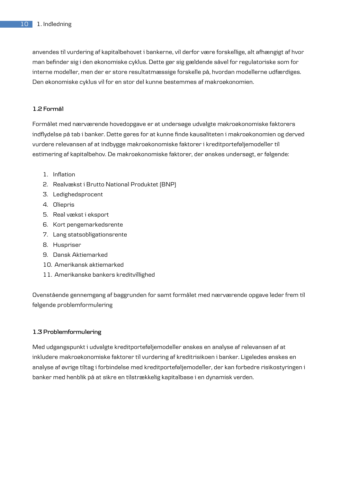anvendes til vurdering af kapitalbehovet i bankerne, vil derfor være forskellige, alt afhængigt af hvor man befinder sig i den økonomiske cyklus. Dette gør sig gældende såvel for regulatoriske som for interne modeller, men der er store resultatmæssige forskelle på, hvordan modellerne udfærdiges. Den økonomiske cyklus vil for en stor del kunne bestemmes af makroøkonomien.

## **1.2 Formål**

Formålet med nærværende hovedopgave er at undersøge udvalgte makroøkonomiske faktorers indflydelse på tab i banker. Dette gøres for at kunne finde kausaliteten i makroøkonomien og derved vurdere relevansen af at indbygge makroøkonomiske faktorer i kreditporteføljemodeller til estimering af kapitalbehov. De makroøkonomiske faktorer, der ønskes undersøgt, er følgende:

- 1. Inflation
- 2. Realvækst i Brutto National Produktet (BNP)
- 3. Ledighedsprocent
- 4. Oliepris
- 5. Real vækst i eksport
- 6. Kort pengemarkedsrente
- 7. Lang statsobligationsrente
- 8. Huspriser
- 9. Dansk Aktiemarked
- 10. Amerikansk aktiemarked
- 11. Amerikanske bankers kreditvillighed

Ovenstående gennemgang af baggrunden for samt formålet med nærværende opgave leder frem til følgende problemformulering

## **1.3 Problemformulering**

Med udgangspunkt i udvalgte kreditporteføljemodeller ønskes en analyse af relevansen af at inkludere makroøkonomiske faktorer til vurdering af kreditrisikoen i banker. Ligeledes ønskes en analyse af øvrige tiltag i forbindelse med kreditporteføljemodeller, der kan forbedre risikostyringen i banker med henblik på at sikre en tilstrækkelig kapitalbase i en dynamisk verden.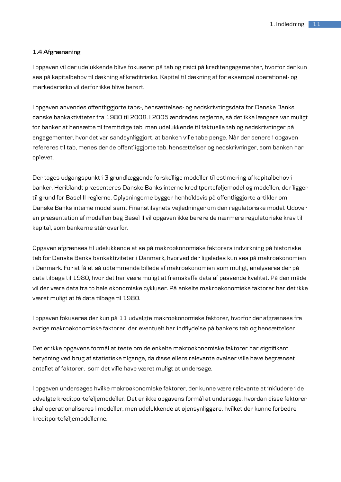## **1.4 Afgrænsning**

I opgaven vil der udelukkende blive fokuseret på tab og risici på kreditengagementer, hvorfor der kun ses på kapitalbehov til dækning af kreditrisiko. Kapital til dækning af for eksempel operationel- og markedsrisiko vil derfor ikke blive berørt.

I opgaven anvendes offentliggjorte tabs-, hensættelses- og nedskrivningsdata for Danske Banks danske bankaktiviteter fra 1980 til 2008. I 2005 ændredes reglerne, så det ikke længere var muligt for banker at hensætte til fremtidige tab, men udelukkende til faktuelle tab og nedskrivninger på engagementer, hvor det var sandsynliggjort, at banken ville tabe penge. Når der senere i opgaven refereres til tab, menes der de offentliggjorte tab, hensættelser og nedskrivninger, som banken har oplevet.

Der tages udgangspunkt i 3 grundlæggende forskellige modeller til estimering af kapitalbehov i banker. Heriblandt præsenteres Danske Banks interne kreditporteføljemodel og modellen, der ligger til grund for Basel II reglerne. Oplysningerne bygger henholdsvis på offentliggjorte artikler om Danske Banks interne model samt Finanstilsynets vejledninger om den regulatoriske model. Udover en præsentation af modellen bag Basel II vil opgaven ikke berøre de nærmere regulatoriske krav til kapital, som bankerne står overfor.

Opgaven afgrænses til udelukkende at se på makroøkonomiske faktorers indvirkning på historiske tab for Danske Banks bankaktiviteter i Danmark, hvorved der ligeledes kun ses på makroøkonomien i Danmark. For at få et så udtømmende billede af makroøkonomien som muligt, analyseres der på data tilbage til 1980, hvor det har være muligt at fremskaffe data af passende kvalitet. På den måde vil der være data fra to hele økonomiske cykluser. På enkelte makroøkonomiske faktorer har det ikke været muligt at få data tilbage til 1980.

I opgaven fokuseres der kun på 11 udvalgte makroøkonomiske faktorer, hvorfor der afgrænses fra øvrige makroøkonomiske faktorer, der eventuelt har indflydelse på bankers tab og hensættelser.

Det er ikke opgavens formål at teste om de enkelte makroøkonomiske faktorer har signifikant betydning ved brug af statistiske tilgange, da disse ellers relevante øvelser ville have begrænset antallet af faktorer, som det ville have været muligt at undersøge.

I opgaven undersøges hvilke makroøkonomiske faktorer, der kunne være relevante at inkludere i de udvalgte kreditporteføljemodeller. Det er ikke opgavens formål at undersøge, hvordan disse faktorer skal operationaliseres i modeller, men udelukkende at øjensynliggøre, hvilket der kunne forbedre kreditporteføljemodellerne.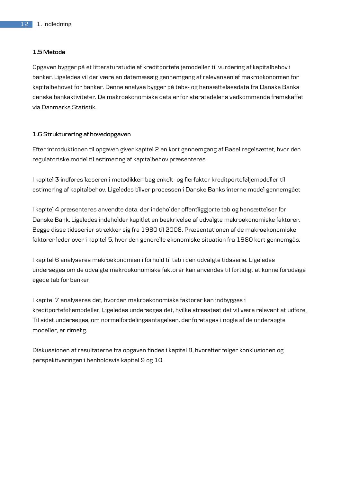## **1.5 Metode**

Opgaven bygger på et litteraturstudie af kreditporteføljemodeller til vurdering af kapitalbehov i banker. Ligeledes vil der være en datamæssig gennemgang af relevansen af makroøkonomien for kapitalbehovet for banker. Denne analyse bygger på tabs- og hensættelsesdata fra Danske Banks danske bankaktiviteter. De makroøkonomiske data er for størstedelens vedkommende fremskaffet via Danmarks Statistik.

#### **1.6 Strukturering af hovedopgaven**

Efter introduktionen til opgaven giver kapitel 2 en kort gennemgang af Basel regelsættet, hvor den regulatoriske model til estimering af kapitalbehov præsenteres.

I kapitel 3 indføres læseren i metodikken bag enkelt- og flerfaktor kreditporteføljemodeller til estimering af kapitalbehov. Ligeledes bliver processen i Danske Banks interne model gennemgået

I kapitel 4 præsenteres anvendte data, der indeholder offentliggjorte tab og hensættelser for Danske Bank. Ligeledes indeholder kapitlet en beskrivelse af udvalgte makroøkonomiske faktorer. Begge disse tidsserier strækker sig fra 1980 til 2008. Præsentationen af de makroøkonomiske faktorer leder over i kapitel 5, hvor den generelle økonomiske situation fra 1980 kort gennemgås.

I kapitel 6 analyseres makroøkonomien i forhold til tab i den udvalgte tidsserie. Ligeledes undersøges om de udvalgte makroøkonomiske faktorer kan anvendes til førtidigt at kunne forudsige øgede tab for banker

I kapitel 7 analyseres det, hvordan makroøkonomiske faktorer kan indbygges i kreditporteføljemodeller. Ligeledes undersøges det, hvilke stresstest det vil være relevant at udføre. Til sidst undersøges, om normalfordelingsantagelsen, der foretages i nogle af de undersøgte modeller, er rimelig.

Diskussionen af resultaterne fra opgaven findes i kapitel 8, hvorefter følger konklusionen og perspektiveringen i henholdsvis kapitel 9 og 10.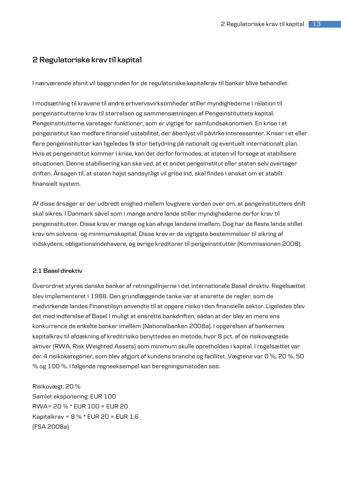# **2 Regulatoriske krav til kapital**

I nærværende afsnit vil baggrunden for de regulatoriske kapitalkrav til banker blive behandlet.

I modsætning til kravene til andre erhvervsvirksomheder stiller myndighederne i relation til pengeinstitutterne krav til størrelsen og sammensætningen af Pengeinstituttets kapital. Pengeinstitutterne varetager funktioner, som er vigtige for samfundsøkonomien. En krise i et pengeinstitut kan medføre finansiel ustabilitet, der åbenlyst vil påvirke interessenter. Kriser i et eller flere pengeinstitutter kan ligeledes få stor betydning på nationalt og eventuelt internationalt plan. Hvis et pengeinstitut kommer i krise, kan det derfor formodes, at staten vil forsøge at stabilisere situationen. Denne stabilisering kan ske ved, at et andet pengeinstitut eller staten selv overtager driften. Årsagen til, at staten højst sandsynligt vil gribe ind, skal findes i ønsket om et stabilt finansielt system.

Af disse årsager er der udbredt enighed mellem lovgivere verden over om, at pengeinstitutters drift skal sikres. I Danmark såvel som i mange andre lande stiller myndighederne derfor krav til pengeinstitutter. Disse krav er mange og kan afvige landene imellem. Dog har de fleste lande stillet krav om solvens- og minimumskapital. Disse krav er de vigtigste bestemmelser til sikring af indskydere, obligationsindehavere, og øvrige kreditorer til pengeinstitutter (Kommissionen 2008).

## **2.1 Basel direktiv**

Overordnet styres danske banker af retningslinjerne i det internationale Basel direktiv. Regelsættet blev implementeret i 1988. Den grundlæggende tanke var at ensrette de regler, som de medvirkende landes Finanstilsyn anvendte til at opgøre risiko i den finansielle sektor. Ligeledes blev det med indførelse af Basel I muligt at ensrette bankdriften, sådan at der blev en mere ens konkurrence de enkelte banker imellem (Nationalbanken 2008a). I opgørelsen af bankernes kapitalkrav til afdækning af kreditrisiko benyttedes en metode, hvor 8 pct. af de risikovægtede aktiver (RWA, Risk Weighted Assets) som minimum skulle opretholdes i kapital. I regelsættet var der 4 risikokategorier, som blev afgjort af kundens branche og facilitet. Vægtene var 0 %, 20 %, 50 % og 100 %. I følgende regneeksempel kan beregningsmetoden ses:

Risikovægt: 20 % Samlet eksponering: EUR 100 RWA= 20 % \* EUR 100 = EUR 20 Kapitalkrav =  $8\%$  \* EUR 20 = EUR 1,6 (FSA 2008a)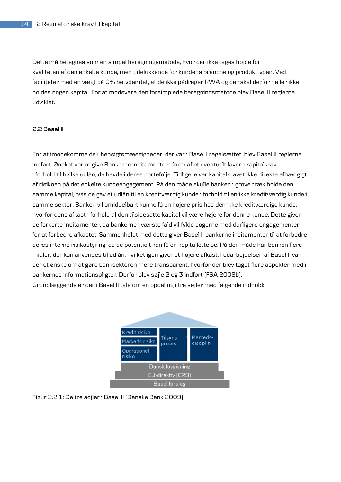Dette må betegnes som en simpel beregningsmetode, hvor der ikke tages højde for kvaliteten af den enkelte kunde, men udelukkende for kundens branche og produkttypen. Ved faciliteter med en vægt på 0% betyder det, at de ikke pådrager RWA og der skal derfor heller ikke holdes nogen kapital. For at modsvare den forsimplede beregningsmetode blev Basel II reglerne udviklet.

## **2.2 Basel II**

For at imødekomme de uhensigtsmæssigheder, der var i Basel I regelsættet, blev Basel II reglerne indført. Ønsket var at give Bankerne incitamenter i form af et eventuelt lavere kapitalkrav i forhold til hvilke udlån, de havde i deres portefølje. Tidligere var kapitalkravet ikke direkte afhængigt af risikoen på det enkelte kundeengagement. På den måde skulle banken i grove træk holde den samme kapital, hvis de gav et udlån til en kreditværdig kunde i forhold til en ikke kreditværdig kunde i samme sektor. Banken vil umiddelbart kunne få en højere pris hos den ikke kreditværdige kunde, hvorfor dens afkast i forhold til den tilsidesatte kapital vil være højere for denne kunde. Dette giver de forkerte incitamenter, da bankerne i værste fald vil fylde bøgerne med dårligere engagementer for at forbedre afkastet. Sammenholdt med dette giver Basel II bankerne incitamenter til at forbedre deres interne risikostyring, da de potentielt kan få en kapitallettelse. På den måde har banken flere midler, der kan anvendes til udlån, hvilket igen giver et højere afkast. I udarbejdelsen af Basel II var der et ønske om at gøre banksektoren mere transparent, hvorfor der blev taget flere aspekter med i bankernes informationspligter. Derfor blev søjle 2 og 3 indført (FSA 2008b), Grundlæggende er der i Basel II tale om en opdeling i tre søjler med følgende indhold:



Figur 2.2.1: De tre søjler i Basel II (Danske Bank 2009)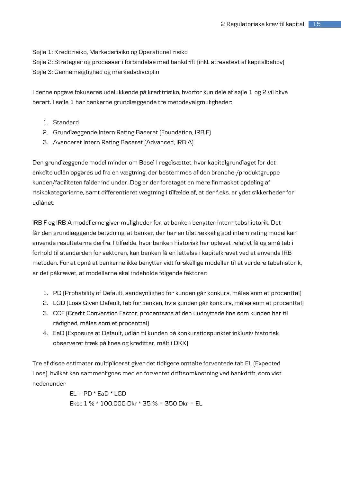Søjle 1: Kreditrisiko, Markedsrisiko og Operationel risiko Søjle 2: Strategier og processer i forbindelse med bankdrift (inkl. stresstest af kapitalbehov) Søjle 3: Gennemsigtighed og markedsdisciplin

I denne opgave fokuseres udelukkende på kreditrisiko, hvorfor kun dele af søjle 1 og 2 vil blive berørt. I søjle 1 har bankerne grundlæggende tre metodevalgmuligheder:

- 1. Standard
- 2. Grundlæggende Intern Rating Baseret (Foundation, IRB F)
- 3. Avanceret Intern Rating Baseret (Advanced, IRB A)

Den grundlæggende model minder om Basel I regelsættet, hvor kapitalgrundlaget for det enkelte udlån opgøres ud fra en vægtning, der bestemmes af den branche-/produktgruppe kunden/faciliteten falder ind under. Dog er der foretaget en mere finmasket opdeling af risikokategorierne, samt differentieret vægtning i tilfælde af, at der f.eks. er ydet sikkerheder for udlånet.

IRB F og IRB A modellerne giver muligheder for, at banken benytter intern tabshistorik. Det får den grundlæggende betydning, at banker, der har en tilstrækkelig god intern rating model kan anvende resultaterne derfra. I tilfælde, hvor banken historisk har oplevet relativt få og små tab i forhold til standarden for sektoren, kan banken få en lettelse i kapitalkravet ved at anvende IRB metoden. For at opnå at bankerne ikke benytter vidt forskellige modeller til at vurdere tabshistorik, er det påkrævet, at modellerne skal indeholde følgende faktorer:

- 1. PD (Probability of Default, sandsynlighed for kunden går konkurs, måles som et procenttal)
- 2. LGD (Loss Given Default, tab for banken, hvis kunden går konkurs, måles som et procenttal)
- 3. CCF (Credit Conversion Factor, procentsats af den uudnyttede line som kunden har til rådighed, måles som et procenttal)
- 4. EaD (Exposure at Default, udlån til kunden på konkurstidspunktet inklusiv historisk observeret træk på lines og kreditter, målt i DKK)

Tre af disse estimater multipliceret giver det tidligere omtalte forventede tab EL (Expected Loss), hvilket kan sammenlignes med en forventet driftsomkostning ved bankdrift, som vist nedenunder

> $EL = PD * EaD * LGD$ Eks.: 1 % \* 100.000 Dkr \* 35 % = 350 Dkr = EL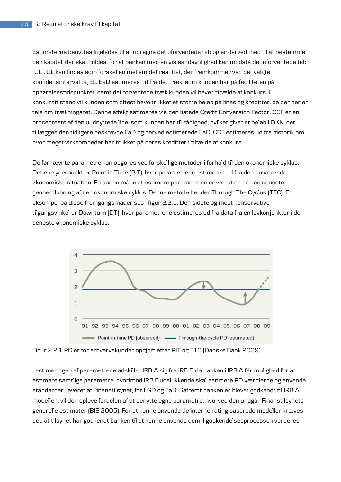Estimaterne benyttes ligeledes til at udregne det uforventede tab og er derved med til at bestemme den kapital, der skal holdes, for at banken med en vis sandsynlighed kan modstå det uforventede tab (UL). UL kan findes som forskellen mellem det resultat, der fremkommer ved det valgte konfidensinterval og EL. EaD estimeres ud fra det træk, som kunden har på faciliteten på opgørelsestidspunktet, samt det forventede træk kunden vil have i tilfælde af konkurs. I konkurstilstand vil kunden som oftest have trukket et større beløb på lines og kreditter, da der her er tale om trækningsret. Denne effekt estimeres via den listede Credit Conversion Factor. CCF er en procentsats af den uudnyttede line, som kunden har til rådighed, hvilket giver et beløb i DKK, der tillægges den tidligere beskrevne EaD og derved estimerede EaD. CCF estimeres ud fra historik om, hvor meget virksomheder har trukket på deres kreditter i tilfælde af konkurs.

De førnævnte parametre kan opgøres ved forskellige metoder i forhold til den økonomiske cyklus. Det ene yderpunkt er Point in Time (PIT), hvor parametrene estimeres ud fra den nuværende økonomiske situation. En anden måde at estimere parametrene er ved at se på den seneste gennemløbning af den økonomiske cyklus. Denne metode hedder Through The Cyclus (TTC). Et eksempel på disse fremgangsmåder ses i figur 2.2.1. Den sidste og mest konservative tilgangsvinkel er Downturn (DT), hvor parametrene estimeres ud fra data fra en lavkonjunktur i den seneste økonomiske cyklus.



Figur 2.2.1 PD'er for erhvervskunder opgjort efter PIT og TTC (Danske Bank 2009)

I estimeringen af parametrene adskiller IRB A sig fra IRB F, da banken i IRB A får mulighed for at estimere samtlige parametre, hvorimod IRB F udelukkende skal estimere PD værdierne og anvende standarder, leveret af Finanstilsynet, for LGD og EaD. Såfremt banken er blevet godkendt til IRB A modellen, vil den opleve fordelen af at benytte egne parametre, hvorved den undgår Finanstilsynets generelle estimater (BIS 2005). For at kunne anvende de interne rating baserede modeller kræves det, at tilsynet har godkendt banken til at kunne anvende dem. I godkendelsesprocessen vurderes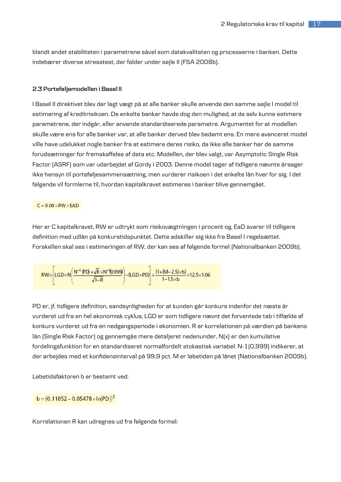blandt andet stabiliteten i parametrene såvel som datakvaliteten og processerne i banken. Dette indebærer diverse stresstest, der falder under søjle II (FSA 2008b).

## **2.3 Porteføljemodellen i Basel II**

I Basel II direktivet blev der lagt vægt på at alle banker skulle anvende den samme søjle I model til estimering af kreditrisikoen. De enkelte banker havde dog den mulighed, at de selv kunne estimere parametrene, der indgår, eller anvende standardiserede parametre. Argumentet for at modellen skulle være ens for alle banker var, at alle banker derved blev bedømt ens. En mere avanceret model ville have udelukket nogle banker fra at estimere deres risiko, da ikke alle banker har de samme forudsætninger for fremskaffelse af data etc. Modellen, der blev valgt, var Asymptotic Single Risk Factor (ASRF) som var udarbejdet af Gordy i 2003. Denne model tager af tidligere nævnte årsager ikke hensyn til porteføljesammensætning, men vurderer risikoen i det enkelte lån hver for sig. I det følgende vil formlerne til, hvordan kapitalkravet estimeres i banker blive gennemgået.

#### $C = 0.08 \times RW \times EAD$

Her er C kapitalkravet, RW er udtrykt som risikovægtningen i procent og, EaD svarer til tidligere definition med udlån på konkurstidspunktet. Dette adskiller sig ikke fra Basel I regelsættet. Forskellen skal ses i estimeringen af RW, der kan ses af følgende formel (Nationalbanken 2009b).

$$
RW {=} \left[ LGD {\times} N \left(\frac{N^{-1} (PD) + \sqrt{R} \times N^{-1} (0.999)}{\sqrt{1-R}} \right) {-} (LGD {\times} PD) \right] {\times} \frac{(1 + (M-2.5) {\times} b)}{1 - 1.5 {\times} b} {\times} 12.5 {\times} 1.06
$$

PD er, jf. tidligere definition, sandsynligheden for at kunden går konkurs indenfor det næste år vurderet ud fra en hel økonomisk cyklus, LGD er som tidligere nævnt det forventede tab i tilfælde af konkurs vurderet ud fra en nedgangsperiode i økonomien. R er korrelationen på værdien på bankens lån (Single Risk Factor) og gennemgås mere detaljeret nedenunder, N(x) er den kumulative fordelingsfunktion for en standardiseret normalfordelt stokastisk variabel. N-1(0,999) indikerer, at der arbejdes med et konfidensinterval på 99,9 pct. M er løbetiden på lånet (Nationalbanken 2009b).

Løbetidsfaktoren b er bestemt ved:

 $b = (0.11852 - 0.05478 \times ln(PD))^2$ 

Korrelationen R kan udregnes ud fra følgende formel: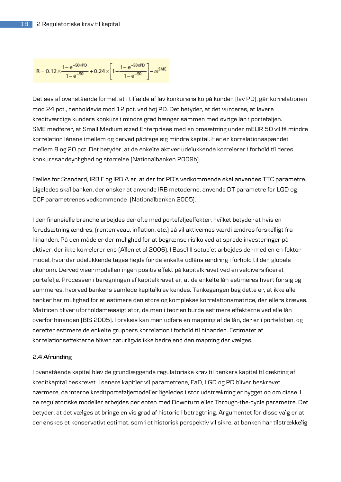$$
R = 0.12 \times \frac{1 - e^{-50 \times PD}}{1 - e^{-50}} + 0.24 \times \left[1 - \frac{1 - e^{-50 \times PD}}{1 - e^{-50}}\right] - \omega^{SME}
$$

Det ses af ovenstående formel, at i tilfælde af lav konkursrisiko på kunden (lav PD), går korrelationen mod 24 pct., henholdsvis mod 12 pct. ved høj PD. Det betyder, at det vurderes, at lavere kreditværdige kunders konkurs i mindre grad hænger sammen med øvrige lån i porteføljen. SME medfører, at Small Medium sized Enterprises med en omsætning under mEUR 50 vil få mindre korrelation lånene imellem og derved pådrage sig mindre kapital. Her er korrelationsspændet mellem 8 og 20 pct. Det betyder, at de enkelte aktiver udelukkende korrelerer i forhold til deres konkurssandsynlighed og størrelse (Nationalbanken 2009b).

Fælles for Standard, IRB F og IRB A er, at der for PD's vedkommende skal anvendes TTC parametre. Ligeledes skal banken, der ønsker at anvende IRB metoderne, anvende DT parametre for LGD og CCF parametrenes vedkommende (Nationalbanken 2005).

I den finansielle branche arbejdes der ofte med porteføljeeffekter, hvilket betyder at hvis en forudsætning ændres, (renteniveau, inflation, etc.) så vil aktivernes værdi ændres forskelligt fra hinanden. På den måde er der mulighed for at begrænse risiko ved at sprede investeringer på aktiver, der ikke korrelerer ens (Allen et al 2006). I Basel II setup'et arbejdes der med en én-faktor model, hvor der udelukkende tages højde for de enkelte udlåns ændring i forhold til den globale økonomi. Derved viser modellen ingen positiv effekt på kapitalkravet ved en veldiversificeret portefølje. Processen i beregningen af kapitalkravet er, at de enkelte lån estimeres hvert for sig og summeres, hvorved bankens samlede kapitalkrav kendes. Tankegangen bag dette er, at ikke alle banker har mulighed for at estimere den store og komplekse korrelationsmatrice, der ellers kræves. Matricen bliver uforholdsmæssigt stor, da man i teorien burde estimere effekterne ved alle lån overfor hinanden (BIS 2005). I praksis kan man udføre en mapning af de lån, der er i porteføljen, og derefter estimere de enkelte gruppers korrelation i forhold til hinanden. Estimatet af korrelationseffekterne bliver naturligvis ikke bedre end den mapning der vælges.

## **2.4 Afrunding**

I ovenstående kapitel blev de grundlæggende regulatoriske krav til bankers kapital til dækning af kreditkapital beskrevet. I senere kapitler vil parametrene, EaD, LGD og PD bliver beskrevet nærmere, da interne kreditporteføljemodeller ligeledes i stor udstrækning er bygget op om disse. I de regulatoriske modeller arbejdes der enten med Downturn eller Through-the-cycle parametre. Det betyder, at det vælges at bringe en vis grad af historie i betragtning. Argumentet for disse valg er at der ønskes et konservativt estimat, som i et historisk perspektiv vil sikre, at banken har tilstrækkelig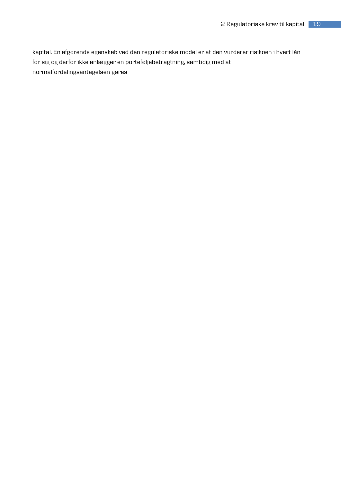kapital. En afgørende egenskab ved den regulatoriske model er at den vurderer risikoen i hvert lån for sig og derfor ikke anlægger en porteføljebetragtning, samtidig med at normalfordelingsantagelsen gøres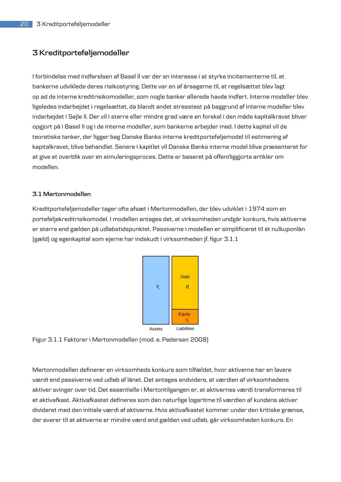# **3 Kreditporteføljemodeller**

I forbindelse med indførelsen af Basel II var der en interesse i at styrke incitamenterne til, at bankerne udviklede deres risikostyring. Dette var en af årsagerne til, at regelsættet blev lagt op ad de interne kreditrisikomodeller, som nogle banker allerede havde indført. Interne modeller blev ligeledes indarbejdet i regelsættet, da blandt andet stresstest på baggrund af interne modeller blev indarbejdet i Søjle II. Der vil i større eller mindre grad være en forskel i den måde kapitalkravet bliver opgjort på i Basel II og i de interne modeller, som bankerne arbejder med. I dette kapitel vil de teoretiske tanker, der ligger bag Danske Banks interne kreditporteføljemodel til estimering af kapitalkravet, blive behandlet. Senere i kapitlet vil Danske Banks interne model blive præsenteret for at give et overblik over en simuleringsproces. Dette er baseret på offentliggjorte artikler om modellen.

## **3.1 Mertonmodellen**

Kreditporteføljemodeller tager ofte afsæt i Mertonmodellen, der blev udviklet i 1974 som en porteføljekreditrisikomodel. I modellen antages det, at virksomheden undgår konkurs, hvis aktiverne er større end gælden på udløbstidspunktet. Passiverne i modellen er simplificeret til ét nulkuponlån (gæld) og egenkapital som ejerne har indskudt i virksomheden jf. figur 3.1.1



Figur 3.1.1 Faktorer i Mertonmodellen (mod. e. Pedersen 2008)

Mertonmodellen definerer en virksomheds konkurs som tilfældet, hvor aktiverne har en lavere værdi end passiverne ved udløb af lånet. Det antages endvidere, at værdien af virksomhedens aktiver svinger over tid. Det essentielle i Mertontilgangen er, at aktivernes værdi transformeres til et aktivafkast. Aktivafkastet defineres som den naturlige logaritme til værdien af kundens aktiver divideret med den initiale værdi af aktiverne. Hvis aktivafkastet kommer under den kritiske grænse, der svarer til at aktiverne er mindre værd end gælden ved udløb, går virksomheden konkurs. En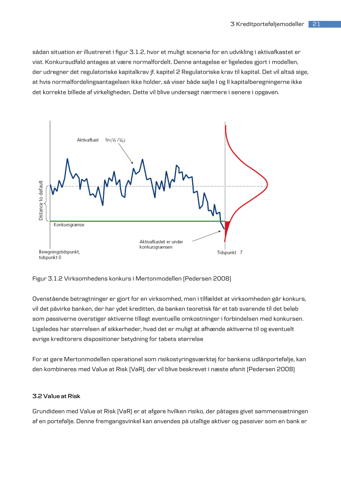sådan situation er illustreret i figur 3.1.2, hvor et muligt scenarie for en udvikling i aktivafkastet er vist. Konkursudfald antages at være normalfordelt. Denne antagelse er ligeledes gjort i modellen, der udregner det regulatoriske kapitalkrav jf. kapitel 2 Regulatoriske krav til kapital. Det vil altså sige, at hvis normalfordelingsantagelsen ikke holder, så viser både søjle I og II kapitalberegningerne ikke det korrekte billede af virkeligheden. Dette vil blive undersøgt nærmere i senere i opgaven.



Figur 3.1.2 Virksomhedens konkurs i Mertonmodellen (Pedersen 2008)

Ovenstående betragtninger er gjort for en virksomhed, men i tilfældet at virksomheden går konkurs, vil det påvirke banken, der har ydet kreditten, da banken teoretisk får et tab svarende til det beløb som passiverne overstiger aktiverne tillagt eventuelle omkostninger i forbindelsen med konkursen. Ligeledes har størrelsen af sikkerheder, hvad det er muligt at afhænde aktiverne til og eventuelt øvrige kreditorers dispositioner betydning for tabets størrelse

For at gøre Mertonmodellen operationel som risikostyringsværktøj for bankens udlånportefølje, kan den kombineres med Value at Risk (VaR), der vil blive beskrevet i næste afsnit (Pedersen 2008)

## **3.2 Value at Risk**

Grundideen med Value at Risk (VaR) er at afgøre hvilken risiko, der påtages givet sammensætningen af en portefølje. Denne fremgangsvinkel kan anvendes på utallige aktiver og passiver som en bank er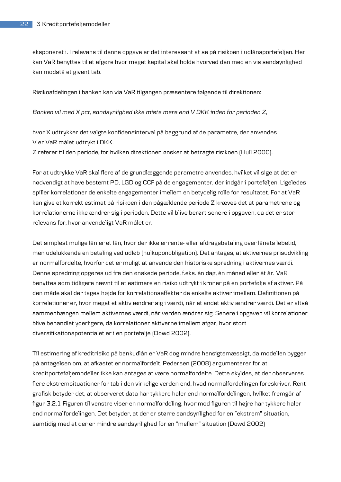eksponeret i. I relevans til denne opgave er det interessant at se på risikoen i udlånsporteføljen. Her kan VaR benyttes til at afgøre hvor meget kapital skal holde hvorved den med en vis sandsynlighed kan modstå et givent tab.

Risikoafdelingen i banken kan via VaR tilgangen præsentere følgende til direktionen:

*Banken vil med X pct, sandsynlighed ikke miste mere end V DKK inden for perioden Z*,

hvor X udtrykker det valgte konfidensinterval på baggrund af de parametre, der anvendes. V er VaR målet udtrykt i DKK.

Z referer til den periode, for hvilken direktionen ønsker at betragte risikoen (Hull 2000).

For at udtrykke VaR skal flere af de grundlæggende parametre anvendes, hvilket vil sige at det er nødvendigt at have bestemt PD, LGD og CCF på de engagementer, der indgår i porteføljen. Ligeledes spiller korrelationer de enkelte engagementer imellem en betydelig rolle for resultatet. For at VaR kan give et korrekt estimat på risikoen i den pågældende periode Z kræves det at parametrene og korrelationerne ikke ændrer sig i perioden. Dette vil blive berørt senere i opgaven, da det er stor relevans for, hvor anvendeligt VaR målet er.

Det simplest mulige lån er et lån, hvor der ikke er rente- eller afdragsbetaling over lånets løbetid, men udelukkende en betaling ved udløb (nulkuponobligation). Det antages, at aktivernes prisudvikling er normalfordelte, hvorfor det er muligt at anvende den historiske spredning i aktivernes værdi. Denne spredning opgøres ud fra den ønskede periode, f.eks. én dag, én måned eller ét år. VaR benyttes som tidligere nævnt til at estimere en risiko udtrykt i kroner på en portefølje af aktiver. På den måde skal der tages højde for korrelationseffekter de enkelte aktiver imellem. Definitionen på korrelationer er, hvor meget et aktiv ændrer sig i værdi, når et andet aktiv ændrer værdi. Det er altså sammenhængen mellem aktivernes værdi, når verden ændrer sig. Senere i opgaven vil korrelationer blive behandlet yderligere, da korrelationer aktiverne imellem afgør, hvor stort diversifikationspotentialet er i en portefølje (Dowd 2002).

Til estimering af kreditrisiko på bankudlån er VaR dog mindre hensigtsmæssigt, da modellen bygger på antagelsen om, at afkastet er normalfordelt. Pedersen (2008) argumenterer for at kreditporteføljemodeller ikke kan antages at være normalfordelte. Dette skyldes, at der observeres flere ekstremsituationer for tab i den virkelige verden end, hvad normalfordelingen foreskriver. Rent grafisk betyder det, at observeret data har tykkere haler end normalfordelingen, hvilket fremgår af figur 3.2.1 Figuren til venstre viser en normalfordeling, hvorimod figuren til højre har tykkere haler end normalfordelingen. Det betyder, at der er større sandsynlighed for en "ekstrem" situation, samtidig med at der er mindre sandsynlighed for en "mellem" situation (Dowd 2002)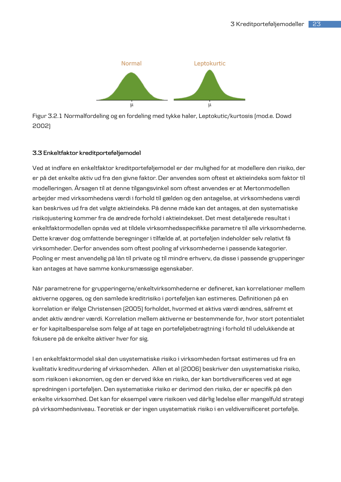

Figur 3.2.1 Normalfordeling og en fordeling med tykke haler, Leptokutic/kurtosis (mod.e. Dowd 2002)

## **3.3 Enkeltfaktor kreditporteføljemodel**

Ved at indføre en enkeltfaktor kreditporteføljemodel er der mulighed for at modellere den risiko, der er på det enkelte aktiv ud fra den givne faktor. Der anvendes som oftest et aktieindeks som faktor til modelleringen. Årsagen til at denne tilgangsvinkel som oftest anvendes er at Mertonmodellen arbejder med virksomhedens værdi i forhold til gælden og den antagelse, at virksomhedens værdi kan beskrives ud fra det valgte aktieindeks. På denne måde kan det antages, at den systematiske risikojustering kommer fra de ændrede forhold i aktieindekset. Det mest detaljerede resultat i enkeltfaktormodellen opnås ved at tildele virksomhedsspecifikke parametre til alle virksomhederne. Dette kræver dog omfattende beregninger i tilfælde af, at porteføljen indeholder selv relativt få virksomheder. Derfor anvendes som oftest pooling af virksomhederne i passende kategorier. Pooling er mest anvendelig på lån til private og til mindre erhverv, da disse i passende grupperinger kan antages at have samme konkursmæssige egenskaber.

Når parametrene for grupperingerne/enkeltvirksomhederne er defineret, kan korrelationer mellem aktiverne opgøres, og den samlede kreditrisiko i porteføljen kan estimeres. Definitionen på en korrelation er ifølge Christensen (2005) forholdet, hvormed et aktivs værdi ændres, såfremt et andet aktiv ændrer værdi. Korrelation mellem aktiverne er bestemmende for, hvor stort potentialet er for kapitalbesparelse som følge af at tage en porteføljebetragtning i forhold til udelukkende at fokusere på de enkelte aktiver hver for sig.

I en enkeltfaktormodel skal den usystematiske risiko i virksomheden fortsat estimeres ud fra en kvalitativ kreditvurdering af virksomheden. Allen et al (2006) beskriver den usystematiske risiko, som risikoen i økonomien, og den er derved ikke en risiko, der kan bortdiversificeres ved at øge spredningen i porteføljen. Den systematiske risiko er derimod den risiko, der er specifik på den enkelte virksomhed. Det kan for eksempel være risikoen ved dårlig ledelse eller mangelfuld strategi på virksomhedsniveau. Teoretisk er der ingen usystematisk risiko i en veldiversificeret portefølje.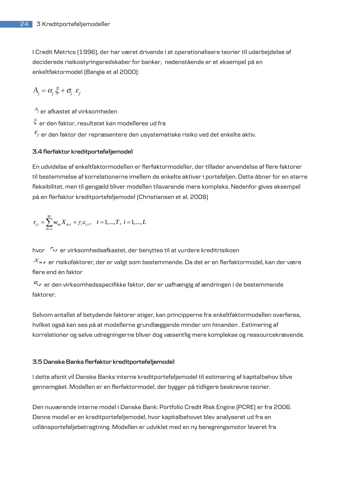I Credit Metrics (1996), der har været drivende i at operationalisere teorier til udarbejdelse af deciderede risikostyringsredskaber for banker, nedenstående er et eksempel på en enkeltfaktormodel (Bangia et al 2000):

$$
A_j = \alpha_j \xi + \sigma_j \varepsilon_j
$$

 $A_j$  er afkastet af virksomheden

 $\ddot{\zeta}$  er den faktor, resultatet kan modelleres ud fra

 $\epsilon_{\rm r}$  er den faktor der repræsentere den usystematiske risiko ved det enkelte aktiv.

## **3.4 flerfaktor kreditporteføljemodel**

En udvidelse af enkeltfaktormodellen er flerfaktormodeller, der tillader anvendelse af flere faktorer til bestemmelse af korrelationerne imellem de enkelte aktiver i porteføljen. Dette åbner for en større fleksibilitet, men til gengæld bliver modellen tilsvarende mere kompleks. Nedenfor gives eksempel på en flerfaktor kreditporteføljemodel (Christiansen et al. 2008)

$$
r_{i,t} = \sum_{m=1}^{M} w_{im} X_{m,t} + \gamma_i \varepsilon_{i,t}, \quad t = 1, ..., T, \ i = 1, ..., L
$$

hvor  $r_{i,t}$  er virksomhedsafkastet, der benyttes til at vurdere kreditrisikoen

 $^{\cdot X_{\mathit{w},\mathit{z}}}$  er risikofaktorer, der er valgt som bestemmende. Da det er en flerfaktormodel, kan der være flere end én faktor

 $\varepsilon_{i,t}$  er den virksomhedsspecifikke faktor, der er uafhængig af ændringen i de bestemmende faktorer.

Selvom antallet af betydende faktorer stiger, kan principperne fra enkeltfaktormodellen overføres, hvilket også kan ses på at modellerne grundlæggende minder om hinanden . Estimering af korrelationer og selve udregningerne bliver dog væsentlig mere komplekse og ressourcekrævende.

## **3.5 Danske Banks flerfaktor kreditporteføljemodel**

I dette afsnit vil Danske Banks interne kreditporteføljemodel til estimering af kapitalbehov blive gennemgået. Modellen er en flerfaktormodel, der bygger på tidligere beskrevne teorier.

Den nuværende interne model i Danske Bank: Portfolio Credit Risk Engine (PCRE) er fra 2006. Denne model er en kreditporteføljemodel, hvor kapitalbehovet blev analyseret ud fra en udlånsporteføljebetragtning. Modellen er udviklet med en ny beregningsmotor leveret fra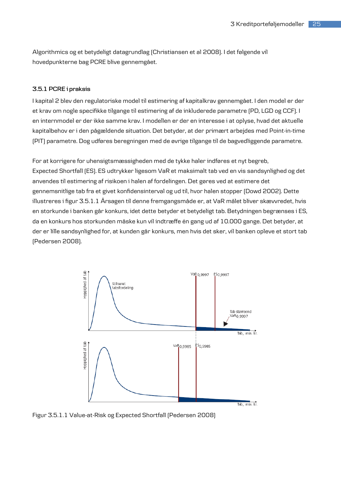Algorithmics og et betydeligt datagrundlag (Christiansen et al 2008). I det følgende vil hovedpunkterne bag PCRE blive gennemgået.

## **3.5.1 PCRE i praksis**

I kapital 2 blev den regulatoriske model til estimering af kapitalkrav gennemgået. I den model er der et krav om nogle specifikke tilgange til estimering af de inkluderede parametre (PD, LGD og CCF). I en internmodel er der ikke samme krav. I modellen er der en interesse i at oplyse, hvad det aktuelle kapitalbehov er i den pågældende situation. Det betyder, at der primært arbejdes med Point-in-time (PIT) parametre. Dog udføres beregningen med de øvrige tilgange til de bagvedliggende parametre.

For at korrigere for uhensigtsmæssigheden med de tykke haler indføres et nyt begreb, Expected Shortfall (ES). ES udtrykker ligesom VaR et maksimalt tab ved en vis sandsynlighed og det anvendes til estimering af risikoen i halen af fordelingen. Det gøres ved at estimere det gennemsnitlige tab fra et givet konfidensinterval og ud til, hvor halen stopper (Dowd 2002). Dette illustreres i figur 3.5.1.1 Årsagen til denne fremgangsmåde er, at VaR målet bliver skævvredet, hvis en storkunde i banken går konkurs, idet dette betyder et betydeligt tab. Betydningen begrænses i ES, da en konkurs hos storkunden måske kun vil indtræffe én gang ud af 10.000 gange. Det betyder, at der er lille sandsynlighed for, at kunden går konkurs, men hvis det sker, vil banken opleve et stort tab (Pedersen 2008).



Figur 3.5.1.1 Value-at-Risk og Expected Shortfall (Pedersen 2008)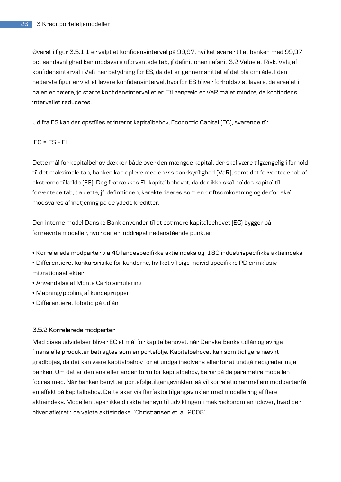Øverst i figur 3.5.1.1 er valgt et konfidensinterval på 99,97, hvilket svarer til at banken med 99,97 pct sandsynlighed kan modsvare uforventede tab, jf definitionen i afsnit 3.2 Value at Risk. Valg af konfidensinterval i VaR har betydning for ES, da det er gennemsnittet af det blå område. I den nederste figur er vist et lavere konfidensinterval, hvorfor ES bliver forholdsvist lavere, da arealet i halen er højere, jo større konfidensintervallet er. Til gengæld er VaR målet mindre, da konfindens intervallet reduceres.

Ud fra ES kan der opstilles et internt kapitalbehov, Economic Capital (EC), svarende til:

## $EC = ES - EL$

Dette mål for kapitalbehov dækker både over den mængde kapital, der skal være tilgængelig i forhold til det maksimale tab, banken kan opleve med en vis sandsynlighed (VaR), samt det forventede tab af ekstreme tilfælde (ES). Dog fratrækkes EL kapitalbehovet, da der ikke skal holdes kapital til forventede tab, da dette, jf. definitionen, karakteriseres som en driftsomkostning og derfor skal modsvares af indtjening på de ydede kreditter.

Den interne model Danske Bank anvender til at estimere kapitalbehovet (EC) bygger på førnævnte modeller, hvor der er inddraget nedenstående punkter:

• Korrelerede modparter via 40 landespecifikke aktieindeks og 180 industrispecifikke aktieindeks

• Differentieret konkursrisiko for kunderne, hvilket vil sige individ specifikke PD'er inklusiv migrationseffekter

- Anvendelse af Monte Carlo simulering
- Mapning/pooling af kundegrupper
- Differentieret løbetid på udlån

## **3.5.2 Korrelerede modparter**

Med disse udvidelser bliver EC et mål for kapitalbehovet, når Danske Banks udlån og øvrige finansielle produkter betragtes som en portefølje. Kapitalbehovet kan som tidligere nævnt gradbøjes, da det kan være kapitalbehov for at undgå insolvens eller for at undgå nedgradering af banken. Om det er den ene eller anden form for kapitalbehov, beror på de parametre modellen fodres med. Når banken benytter porteføljetilgangsvinklen, så vil korrelationer mellem modparter få en effekt på kapitalbehov. Dette sker via flerfaktortilgangsvinklen med modellering af flere aktieindeks. Modellen tager ikke direkte hensyn til udviklingen i makroøkonomien udover, hvad der bliver aflejret i de valgte aktieindeks. (Christiansen et. al. 2008)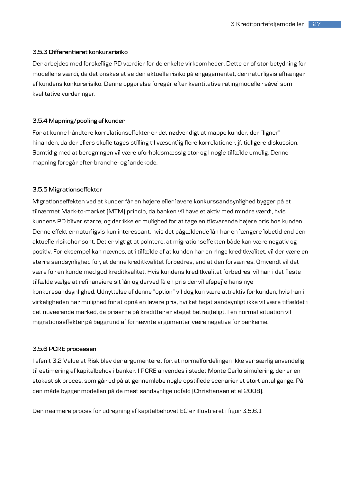## **3.5.3 Differentieret konkursrisiko**

Der arbejdes med forskellige PD værdier for de enkelte virksomheder. Dette er af stor betydning for modellens værdi, da det ønskes at se den aktuelle risiko på engagementet, der naturligvis afhænger af kundens konkursrisiko. Denne opgørelse foregår efter kvantitative ratingmodeller såvel som kvalitative vurderinger.

## **3.5.4 Mapning/pooling af kunder**

For at kunne håndtere korrelationseffekter er det nødvendigt at mappe kunder, der "ligner" hinanden, da der ellers skulle tages stilling til væsentlig flere korrelationer, jf. tidligere diskussion. Samtidig med at beregningen vil være uforholdsmæssig stor og i nogle tilfælde umulig. Denne mapning foregår efter branche- og landekode.

## **3.5.5 Migrationseffekter**

Migrationseffekten ved at kunder får en højere eller lavere konkurssandsynlighed bygger på et tilnærmet Mark-to-market (MTM) princip, da banken vil have et aktiv med mindre værdi, hvis kundens PD bliver større, og der ikke er mulighed for at tage en tilsvarende højere pris hos kunden. Denne effekt er naturligvis kun interessant, hvis det pågældende lån har en længere løbetid end den aktuelle risikohorisont. Det er vigtigt at pointere, at migrationseffekten både kan være negativ og positiv. For eksempel kan nævnes, at i tilfælde af at kunden har en ringe kreditkvalitet, vil der være en større sandsynlighed for, at denne kreditkvalitet forbedres, end at den forværres. Omvendt vil det være for en kunde med god kreditkvalitet. Hvis kundens kreditkvalitet forbedres, vil han i det fleste tilfælde vælge at refinansiere sit lån og derved få en pris der vil afspejle hans nye konkurssandsynlighed. Udnyttelse af denne "option" vil dog kun være attraktiv for kunden, hvis han i virkeligheden har mulighed for at opnå en lavere pris, hvilket højst sandsynligt ikke vil være tilfældet i det nuværende marked, da priserne på kreditter er steget betragteligt. I en normal situation vil migrationseffekter på baggrund af førnævnte argumenter være negative for bankerne.

## **3.5.6 PCRE processen**

I afsnit 3.2 Value at Risk blev der argumenteret for, at normalfordelingen ikke var særlig anvendelig til estimering af kapitalbehov i banker. I PCRE anvendes i stedet Monte Carlo simulering, der er en stokastisk proces, som går ud på at gennemløbe nogle opstillede scenarier et stort antal gange. På den måde bygger modellen på de mest sandsynlige udfald (Christiansen et al 2008).

Den nærmere proces for udregning af kapitalbehovet EC er illustreret i figur 3.5.6.1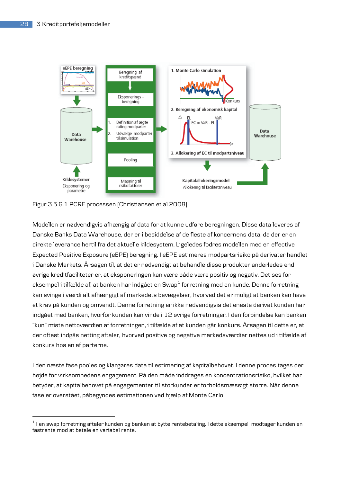

Figur 3.5.6.1 PCRE processen (Christiansen et al 2008)

Modellen er nødvendigvis afhængig af data for at kunne udføre beregningen. Disse data leveres af Danske Banks Data Warehouse, der er i besiddelse af de fleste af koncernens data, da der er en direkte leverance hertil fra det aktuelle kildesystem. Ligeledes fodres modellen med en effective Expected Positive Exposure (eEPE) beregning. I eEPE estimeres modpartsrisiko på derivater handlet i Danske Markets. Årsagen til, at det er nødvendigt at behandle disse produkter anderledes end øvrige kreditfaciliteter er, at eksponeringen kan være både være positiv og negativ. Det ses for eksempel i tilfælde af, at banken har indgået en Swap $^{\rm 1}$  forretning med en kunde. Denne forretning kan svinge i værdi alt afhængigt af markedets bevægelser, hvorved det er muligt at banken kan have et krav på kunden og omvendt. Denne forretning er ikke nødvendigvis det eneste derivat kunden har indgået med banken, hvorfor kunden kan vinde i 12 øvrige forretninger. I den forbindelse kan banken "kun" miste nettoværdien af forretningen, i tilfælde af at kunden går konkurs. Årsagen til dette er, at der oftest indgås netting aftaler, hvorved positive og negative markedsværdier nettes ud i tilfælde af konkurs hos en af parterne.

I den næste fase pooles og klargøres data til estimering af kapitalbehovet. I denne proces tages der højde for virksomhedens engagement. På den måde inddrages en koncentrationsrisiko, hvilket har betyder, at kapitalbehovet på engagementer til storkunder er forholdsmæssigt større. Når denne fase er overstået, påbegyndes estimationen ved hjælp af Monte Carlo

j  $^{\rm 1}$  I en swap forretning aftaler kunden og banken at bytte rentebetaling. I dette eksempel modtager kunden en fastrente mod at betale en variabel rente.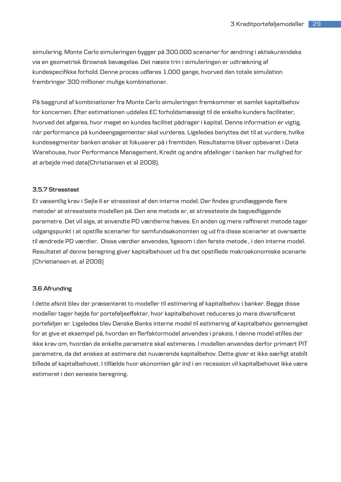simulering. Monte Carlo simuleringen bygger på 300.000 scenarier for ændring i aktiekursindeks via en geometrisk Brownsk bevægelse. Det næste trin i simuleringen er udtrækning af kundespecifikke forhold. Denne proces udføres 1.000 gange, hvorved den totale simulation frembringer 300 millioner mulige kombinationer.

På baggrund af kombinationer fra Monte Carlo simuleringen fremkommer et samlet kapitalbehov for koncernen. Efter estimationen uddeles EC forholdsmæssigt til de enkelte kunders faciliteter, hvorved det afgøres, hvor meget en kundes facilitet pådrager i kapital. Denne information er vigtig, når performance på kundeengagementer skal vurderes. Ligeledes benyttes det til at vurdere, hvilke kundesegmenter banken ønsker at fokuserer på i fremtiden. Resultaterne bliver opbevaret i Data Warehouse, hvor Performance Management, Kredit og andre afdelinger i banken har mulighed for at arbejde med data(Christiansen et al 2008).

## **3.5.7 Stresstest**

Et væsentlig krav i Søjle II er stresstest af den interne model. Der findes grundlæggende flere metoder at stressteste modellen på. Den ene metode er, at stressteste de bagvedliggende parametre. Det vil sige, at anvendte PD værdierne hæves. En anden og mere raffineret metode tager udgangspunkt i at opstille scenarier for samfundsøkonomien og ud fra disse scenarier at oversætte til ændrede PD værdier. Disse værdier anvendes, ligesom i den første metode , i den interne model. Resultatet af denne beregning giver kapitalbehovet ud fra det opstillede makroøkonomiske scenarie (Christiansen et. al 2008)

#### **3.6 Afrunding**

I dette afsnit blev der præsenteret to modeller til estimering af kapitalbehov i banker. Begge disse modeller tager højde for porteføljeeffekter, hvor kapitalbehovet reduceres jo mere diversificeret porteføljen er. Ligeledes blev Danske Banks interne model til estimering af kapitalbehov gennemgået for at give et eksempel på, hvordan en flerfaktormodel anvendes i praksis. I denne model stilles der ikke krav om, hvordan de enkelte parametre skal estimeres. I modellen anvendes derfor primært PIT parametre, da det ønskes at estimere det nuværende kapitalbehov. Dette giver et ikke særligt stabilt billede af kapitalbehovet. I tilfælde hvor økonomien går ind i en recession vil kapitalbehovet ikke være estimeret i den seneste beregning.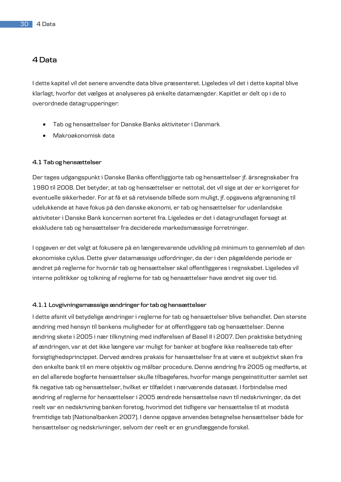## **4 Data**

I dette kapitel vil det senere anvendte data blive præsenteret. Ligeledes vil det i dette kapital blive klarlagt, hvorfor det vælges at analyseres på enkelte datamængder. Kapitlet er delt op i de to overordnede datagrupperinger:

- Tab og hensættelser for Danske Banks aktiviteter i Danmark
- Makroøkonomisk data

#### **4.1 Tab og hensættelser**

Der tages udgangspunkt i Danske Banks offentliggjorte tab og hensættelser jf. årsregnskaber fra 1980 til 2008. Det betyder, at tab og hensættelser er nettotal, det vil sige at der er korrigeret for eventuelle sikkerheder. For at få et så retvisende billede som muligt, jf. opgavens afgrænsning til udelukkende at have fokus på den danske økonomi, er tab og hensættelser for udenlandske aktiviteter i Danske Bank koncernen sorteret fra. Ligeledes er det i datagrundlaget forsøgt at ekskludere tab og hensættelser fra deciderede markedsmæssige forretninger.

I opgaven er det valgt at fokusere på en længerevarende udvikling på minimum to gennemløb af den økonomiske cyklus. Dette giver datamæssige udfordringer, da der i den pågældende periode er ændret på reglerne for hvornår tab og hensættelser skal offentliggøres i regnskabet. Ligeledes vil interne politikker og tolkning af reglerne for tab og hensættelser have ændret sig over tid.

#### **4.1.1 Lovgivningsmæssige ændringer for tab og hensættelser**

I dette afsnit vil betydelige ændringer i reglerne for tab og hensættelser blive behandlet. Den største ændring med hensyn til bankens muligheder for at offentliggøre tab og hensættelser. Denne ændring skete i 2005 i nær tilknytning med indførelsen af Basel II i 2007. Den praktiske betydning af ændringen, var at det ikke længere var muligt for banker at bogføre ikke realiserede tab efter forsigtighedsprincippet. Derved ændres praksis for hensættelser fra at være et subjektivt skøn fra den enkelte bank til en mere objektiv og målbar procedure. Denne ændring fra 2005 og medførte, at en del allerede bogførte hensættelser skulle tilbageføres, hvorfor mange pengeinstitutter samlet set fik negative tab og hensættelser, hvilket er tilfældet i nærværende datasæt. I forbindelse med ændring af reglerne for hensættelser i 2005 ændrede hensættelse navn til nedskrivninger, da det reelt var en nedskrivning banken foretog, hvorimod det tidligere var hensættelse til at modstå fremtidige tab (Nationalbanken 2007). I denne opgave anvendes betegnelse hensættelser både for hensættelser og nedskrivninger, selvom der reelt er en grundlæggende forskel.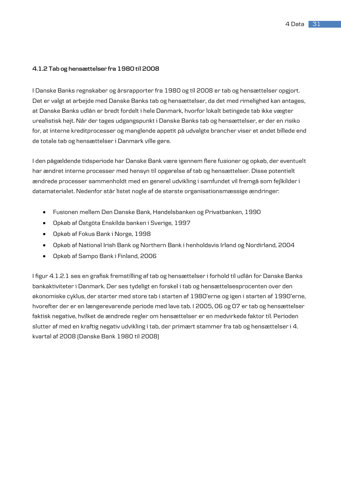## **4.1.2 Tab og hensættelser fra 1980 til 2008**

I Danske Banks regnskaber og årsrapporter fra 1980 og til 2008 er tab og hensættelser opgjort. Det er valgt at arbejde med Danske Banks tab og hensættelser, da det med rimelighed kan antages, at Danske Banks udlån er bredt fordelt i hele Danmark, hvorfor lokalt betingede tab ikke vægter urealistisk højt. Når der tages udgangspunkt i Danske Banks tab og hensættelser, er der en risiko for, at interne kreditprocesser og manglende appetit på udvalgte brancher viser et andet billede end de totale tab og hensættelser i Danmark ville gøre.

I den pågældende tidsperiode har Danske Bank være igennem flere fusioner og opkøb, der eventuelt har ændret interne processer med hensyn til opgørelse af tab og hensættelser. Disse potentielt ændrede processer sammenholdt med en generel udvikling i samfundet vil fremgå som fejlkilder i datamaterialet. Nedenfor står listet nogle af de største organisationsmæssige ændringer:

- Fusionen mellem Den Danske Bank, Handelsbanken og Privatbanken, 1990
- Opkøb af Östgöta Enskilda banken i Sverige, 1997
- Opkøb af Fokus Bank i Norge, 1998
- Opkøb af National Irish Bank og Northern Bank i henholdsvis Irland og Nordirland, 2004
- Opkøb af Sampo Bank i Finland, 2006

I figur 4.1.2.1 ses en grafisk fremstilling af tab og hensættelser i forhold til udlån for Danske Banks bankaktiviteter i Danmark. Der ses tydeligt en forskel i tab og hensættelsesprocenten over den økonomiske cyklus, der starter med store tab i starten af 1980'erne og igen i starten af 1990'erne, hvorefter der er en længerevarende periode med lave tab. I 2005, 06 og 07 er tab og hensættelser faktisk negative, hvilket de ændrede regler om hensættelser er en medvirkede faktor til. Perioden slutter af med en kraftig negativ udvikling i tab, der primært stammer fra tab og hensættelser i 4. kvartal af 2008 (Danske Bank 1980 til 2008)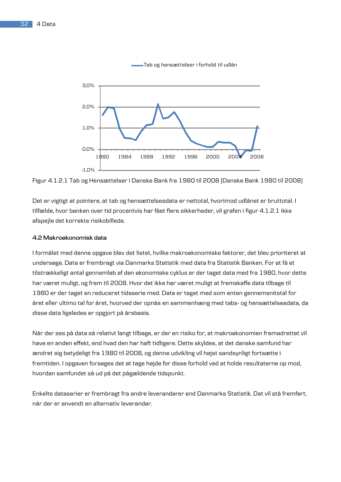

Tab og hensættelser i forhold til udlån

Figur 4.1.2.1 Tab og Hensættelser i Danske Bank fra 1980 til 2008 (Danske Bank 1980 til 2008)

Det er vigtigt at pointere, at tab og hensættelsesdata er nettotal, hvorimod udlånet er bruttotal. I tilfælde, hvor banken over tid procentvis har fået flere sikkerheder, vil grafen i figur 4.1.2.1 ikke afspejle det korrekte risikobillede.

### **4.2 Makroøkonomisk data**

I formålet med denne opgave blev det listet, hvilke makroøkonomiske faktorer, det blev prioriteret at undersøge. Data er frembragt via Danmarks Statistik med data fra Statistik Banken. For at få et tilstrækkeligt antal gennemløb af den økonomiske cyklus er der taget data med fra 1980, hvor dette har været muligt, og frem til 2008. Hvor det ikke har været muligt at fremskaffe data tilbage til 1980 er der taget en reduceret tidsserie med. Data er taget med som enten gennemsnitstal for året eller ultimo tal for året, hvorved der opnås en sammenhæng med tabs- og hensættelsesdata, da disse data ligeledes er opgjort på årsbasis.

Når der ses på data så relativt langt tilbage, er der en risiko for, at makroøkonomien fremadrettet vil have en anden effekt, end hvad den har haft tidligere. Dette skyldes, at det danske samfund har ændret sig betydeligt fra 1980 til 2008, og denne udvikling vil højst sandsynligt fortsætte i fremtiden. I opgaven forsøges det at tage højde for disse forhold ved at holde resultaterne op mod, hvordan samfundet så ud på det pågældende tidspunkt.

Enkelte dataserier er frembragt fra andre leverandører end Danmarks Statistik. Det vil stå fremført, når der er anvendt en alternativ leverandør.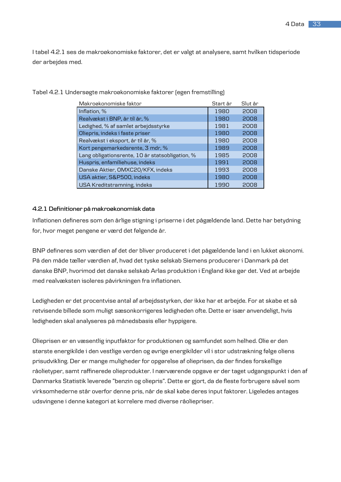I tabel 4.2.1 ses de makroøkonomiske faktorer, det er valgt at analysere, samt hvilken tidsperiode der arbejdes med.

| Makroøkonomiske faktor                          | Start år | Slut år |
|-------------------------------------------------|----------|---------|
| Inflation, %                                    | 1980     | 2008    |
| Realvækst i BNP, år til år, %                   | 1980     | 2008    |
| Ledighed, % af samlet arbejdsstyrke             | 1981     | 2008    |
| Oliepris, indeks i faste priser                 | 1980     | 2008    |
| Realvækst i eksport, år til år, %               | 1980     | 2008    |
| Kort pengemarkedsrente, 3 mdr, %                | 1989     | 2008    |
| Lang obligationsrente, 10 år statsobligation, % | 1985     | 2008    |
| Huspris, enfamiliehuse, indeks                  | 1991     | 2008    |
| Danske Aktier, OMXC20/KFX, indeks               | 1993     | 2008    |
| USA aktier, S&P500, indeks                      | 1980     | 2008    |
| USA Kreditstramning, indeks                     | 1990     | 2008    |

Tabel 4.2.1 Undersøgte makroøkonomiske faktorer (egen fremstilling)

## **4.2.1 Definitioner på makroøkonomisk data**

Inflationen defineres som den årlige stigning i priserne i det pågældende land. Dette har betydning for, hvor meget pengene er værd det følgende år.

BNP defineres som værdien af det der bliver produceret i det pågældende land i en lukket økonomi. På den måde tæller værdien af, hvad det tyske selskab Siemens producerer i Danmark på det danske BNP, hvorimod det danske selskab Arlas produktion i England ikke gør det. Ved at arbejde med realvæksten isoleres påvirkningen fra inflationen.

Ledigheden er det procentvise antal af arbejdsstyrken, der ikke har et arbejde. For at skabe et så retvisende billede som muligt sæsonkorrigeres ledigheden ofte. Dette er især anvendeligt, hvis ledigheden skal analyseres på månedsbasis eller hyppigere.

Olieprisen er en væsentlig inputfaktor for produktionen og samfundet som helhed. Olie er den største energikilde i den vestlige verden og øvrige energikilder vil i stor udstrækning følge oliens prisudvikling. Der er mange muligheder for opgørelse af olieprisen, da der findes forskellige råolietyper, samt raffinerede olieprodukter. I nærværende opgave er der taget udgangspunkt i den af Danmarks Statistik leverede "benzin og oliepris". Dette er gjort, da de fleste forbrugere såvel som virksomhederne står overfor denne pris, når de skal købe deres input faktorer. Ligeledes antages udsvingene i denne kategori at korrelere med diverse råoliepriser.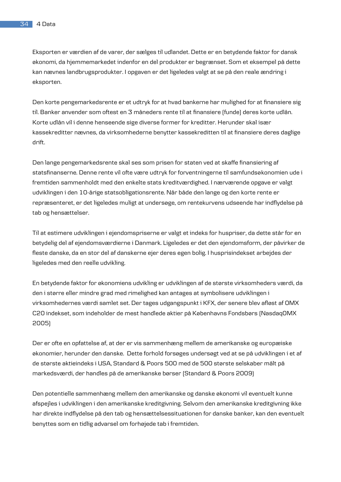Eksporten er værdien af de varer, der sælges til udlandet. Dette er en betydende faktor for dansk økonomi, da hjemmemarkedet indenfor en del produkter er begrænset. Som et eksempel på dette kan nævnes landbrugsprodukter. I opgaven er det ligeledes valgt at se på den reale ændring i eksporten.

Den korte pengemarkedsrente er et udtryk for at hvad bankerne har mulighed for at finansiere sig til. Banker anvender som oftest en 3 måneders rente til at finansiere (funde) deres korte udlån. Korte udlån vil i denne henseende sige diverse former for kreditter. Herunder skal især kassekreditter nævnes, da virksomhederne benytter kassekreditten til at finansiere deres daglige drift.

Den lange pengemarkedsrente skal ses som prisen for staten ved at skaffe finansiering af statsfinanserne. Denne rente vil ofte være udtryk for forventningerne til samfundsøkonomien ude i fremtiden sammenholdt med den enkelte stats kreditværdighed. I nærværende opgave er valgt udviklingen i den 10-årige statsobligationsrente. Når både den lange og den korte rente er repræsenteret, er det ligeledes muligt at undersøge, om rentekurvens udseende har indflydelse på tab og hensættelser.

Til at estimere udviklingen i ejendomspriserne er valgt et indeks for huspriser, da dette står for en betydelig del af ejendomsværdierne i Danmark. Ligeledes er det den ejendomsform, der påvirker de fleste danske, da en stor del af danskerne ejer deres egen bolig. I husprisindekset arbejdes der ligeledes med den reelle udvikling.

En betydende faktor for økonomiens udvikling er udviklingen af de største virksomheders værdi, da den i større eller mindre grad med rimelighed kan antages at symbolisere udviklingen i virksomhedernes værdi samlet set. Der tages udgangspunkt i KFX, der senere blev afløst af OMX C20 indekset, som indeholder de mest handlede aktier på Københavns Fondsbørs (NasdaqOMX 2005)

Der er ofte en opfattelse af, at der er vis sammenhæng mellem de amerikanske og europæiske økonomier, herunder den danske. Dette forhold forsøges undersøgt ved at se på udviklingen i et af de største aktieindeks i USA, Standard & Poors 500 med de 500 største selskaber målt på markedsværdi, der handles på de amerikanske børser (Standard & Poors 2009)

Den potentielle sammenhæng mellem den amerikanske og danske økonomi vil eventuelt kunne afspejles i udviklingen i den amerikanske kreditgivning. Selvom den amerikanske kreditgivning ikke har direkte indflydelse på den tab og hensættelsessituationen for danske banker, kan den eventuelt benyttes som en tidlig advarsel om forhøjede tab i fremtiden.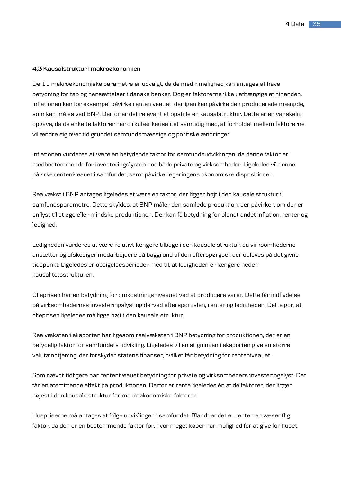## **4.3 Kausalstruktur i makroøkonomien**

De 11 makroøkonomiske parametre er udvalgt, da de med rimelighed kan antages at have betydning for tab og hensættelser i danske banker. Dog er faktorerne ikke uafhængige af hinanden. Inflationen kan for eksempel påvirke renteniveauet, der igen kan påvirke den producerede mængde, som kan måles ved BNP. Derfor er det relevant at opstille en kausalstruktur. Dette er en vanskelig opgave, da de enkelte faktorer har cirkulær kausalitet samtidig med, at forholdet mellem faktorerne vil ændre sig over tid grundet samfundsmæssige og politiske ændringer.

Inflationen vurderes at være en betydende faktor for samfundsudviklingen, da denne faktor er medbestemmende for investeringslysten hos både private og virksomheder. Ligeledes vil denne påvirke renteniveauet i samfundet, samt påvirke regeringens økonomiske dispositioner.

Realvækst i BNP antages ligeledes at være en faktor, der ligger højt i den kausale struktur i samfundsparametre. Dette skyldes, at BNP måler den samlede produktion, der påvirker, om der er en lyst til at øge eller mindske produktionen. Der kan få betydning for blandt andet inflation, renter og ledighed.

Ledigheden vurderes at være relativt længere tilbage i den kausale struktur, da virksomhederne ansætter og afskediger medarbejdere på baggrund af den efterspørgsel, der opleves på det givne tidspunkt. Ligeledes er opsigelsesperioder med til, at ledigheden er længere nede i kausalitetsstrukturen.

Olieprisen har en betydning for omkostningsniveauet ved at producere varer. Dette får indflydelse på virksomhedernes investeringslyst og derved efterspørgslen, renter og ledigheden. Dette gør, at olieprisen ligeledes må ligge højt i den kausale struktur.

Realvæksten i eksporten har ligesom realvæksten i BNP betydning for produktionen, der er en betydelig faktor for samfundets udvikling. Ligeledes vil en stigningen i eksporten give en større valutaindtjening, der forskyder statens finanser, hvilket får betydning for renteniveauet.

Som nævnt tidligere har renteniveauet betydning for private og virksomheders investeringslyst. Det får en afsmittende effekt på produktionen. Derfor er rente ligeledes én af de faktorer, der ligger højest i den kausale struktur for makroøkonomiske faktorer.

Huspriserne må antages at følge udviklingen i samfundet. Blandt andet er renten en væsentlig faktor, da den er en bestemmende faktor for, hvor meget køber har mulighed for at give for huset.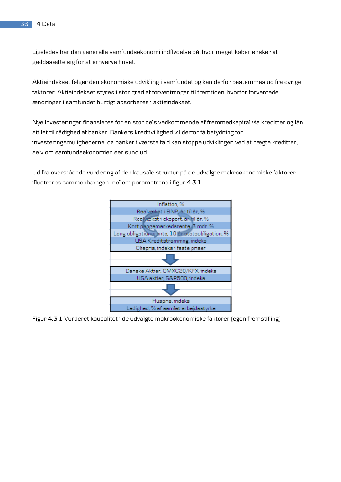Ligeledes har den generelle samfundsøkonomi indflydelse på, hvor meget køber ønsker at gældssætte sig for at erhverve huset.

Aktieindekset følger den økonomiske udvikling i samfundet og kan derfor bestemmes ud fra øvrige faktorer. Aktieindekset styres i stor grad af forventninger til fremtiden, hvorfor forventede ændringer i samfundet hurtigt absorberes i aktieindekset.

Nye investeringer finansieres for en stor dels vedkommende af fremmedkapital via kreditter og lån stillet til rådighed af banker. Bankers kreditvillighed vil derfor få betydning for investeringsmulighederne, da banker i værste fald kan stoppe udviklingen ved at nægte kreditter, selv om samfundsøkonomien ser sund ud.

Ud fra overstående vurdering af den kausale struktur på de udvalgte makroøkonomiske faktorer illustreres sammenhængen mellem parametrene i figur 4.3.1



Figur 4.3.1 Vurderet kausalitet i de udvalgte makroøkonomiske faktorer (egen fremstilling)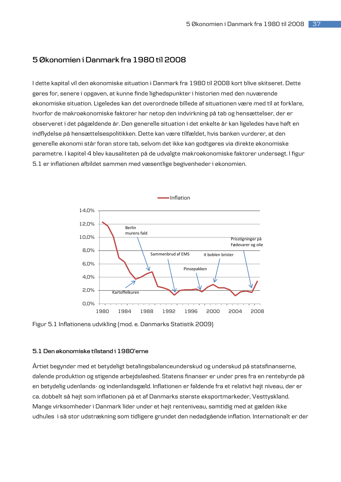# **5 Økonomien i Danmark fra 1980 til 2008**

I dette kapital vil den økonomiske situation i Danmark fra 1980 til 2008 kort blive skitseret. Dette gøres for, senere i opgaven, at kunne finde lighedspunkter i historien med den nuværende økonomiske situation. Ligeledes kan det overordnede billede af situationen være med til at forklare, hvorfor de makroøkonomiske faktorer har netop den indvirkning på tab og hensættelser, der er observeret i det pågældende år. Den generelle situation i det enkelte år kan ligeledes have haft en indflydelse på hensættelsespolitikken. Dette kan være tilfældet, hvis banken vurderer, at den generelle økonomi står foran store tab, selvom det ikke kan godtgøres via direkte økonomiske parametre. I kapitel 4 blev kausaliteten på de udvalgte makroøkonomiske faktorer undersøgt. I figur 5.1 er inflationen afbildet sammen med væsentlige begivenheder i økonomien.



Figur 5.1 Inflationens udvikling (mod. e. Danmarks Statistik 2009)

### **5.1 Den økonomiske tilstand i 1980'erne**

Årtiet begynder med et betydeligt betalingsbalanceunderskud og underskud på statsfinanserne, dalende produktion og stigende arbejdsløshed. Statens finanser er under pres fra en rentebyrde på en betydelig udenlands- og indenlandsgæld. Inflationen er faldende fra et relativt højt niveau, der er ca. dobbelt så højt som inflationen på et af Danmarks største eksportmarkeder, Vesttyskland. Mange virksomheder i Danmark lider under et højt renteniveau, samtidig med at gælden ikke udhules i så stor udstrækning som tidligere grundet den nedadgående inflation. Internationalt er der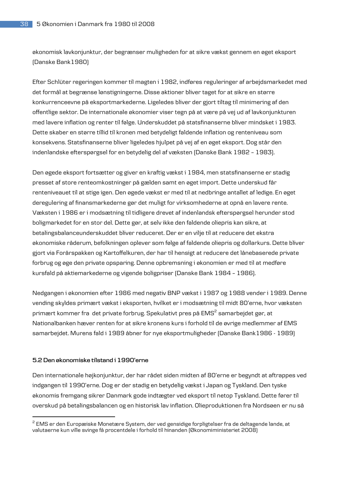økonomisk lavkonjunktur, der begrænser muligheden for at sikre vækst gennem en øget eksport (Danske Bank1980)

Efter Schlüter regeringen kommer til magten i 1982, indføres reguleringer af arbejdsmarkedet med det formål at begrænse lønstigningerne. Disse aktioner bliver taget for at sikre en større konkurrenceevne på eksportmarkederne. Ligeledes bliver der gjort tiltag til minimering af den offentlige sektor. De internationale økonomier viser tegn på at være på vej ud af lavkonjunkturen med lavere inflation og renter til følge. Underskuddet på statsfinanserne bliver mindsket i 1983. Dette skaber en større tillid til kronen med betydeligt faldende inflation og renteniveau som konsekvens. Statsfinanserne bliver ligeledes hjulpet på vej af en øget eksport. Dog står den indenlandske efterspørgsel for en betydelig del af væksten (Danske Bank 1982 – 1983).

Den øgede eksport fortsætter og giver en kraftig vækst i 1984, men statsfinanserne er stadig presset af store renteomkostninger på gælden samt en øget import. Dette underskud får renteniveauet til at stige igen. Den øgede vækst er med til at nedbringe antallet af ledige. En øget deregulering af finansmarkederne gør det muligt for virksomhederne at opnå en lavere rente. Væksten i 1986 er i modsætning til tidligere drevet af indenlandsk efterspørgsel herunder stod boligmarkedet for en stor del. Dette gør, at selv ikke den faldende oliepris kan sikre, at betalingsbalanceunderskuddet bliver reduceret. Der er en vilje til at reducere det ekstra økonomiske råderum, befolkningen oplever som følge af faldende oliepris og dollarkurs. Dette bliver gjort via Forårspakken og Kartoffelkuren, der har til hensigt at reducere det lånebaserede private forbrug og øge den private opsparing. Denne opbremsning i økonomien er med til at medføre kursfald på aktiemarkederne og vigende boligpriser (Danske Bank 1984 – 1986).

Nedgangen i økonomien efter 1986 med negativ BNP vækst i 1987 og 1988 vender i 1989. Denne vending skyldes primært vækst i eksporten, hvilket er i modsætning til midt 80'erne, hvor væksten primært kommer fra det private forbrug. Spekulativt pres på EMS<sup>2</sup> samarbejdet gør, at Nationalbanken hæver renten for at sikre kronens kurs i forhold til de øvrige medlemmer af EMS samarbejdet. Murens fald i 1989 åbner for nye eksportmuligheder (Danske Bank1986 - 1989)

### **5.2 Den økonomiske tilstand i 1990'erne**

j

Den internationale højkonjunktur, der har rådet siden midten af 80'erne er begyndt at aftrappes ved indgangen til 1990'erne. Dog er der stadig en betydelig vækst i Japan og Tyskland. Den tyske økonomis fremgang sikrer Danmark gode indtægter ved eksport til netop Tyskland. Dette fører til overskud på betalingsbalancen og en historisk lav inflation. Olieproduktionen fra Nordsøen er nu så

<sup>&</sup>lt;sup>2</sup> EMS er den Europæiske Monetære System, der ved gensidige forpligtelser fra de deltagende lande, at valutaerne kun ville svinge få procentdele i forhold til hinanden (Økonomiministeriet 2008)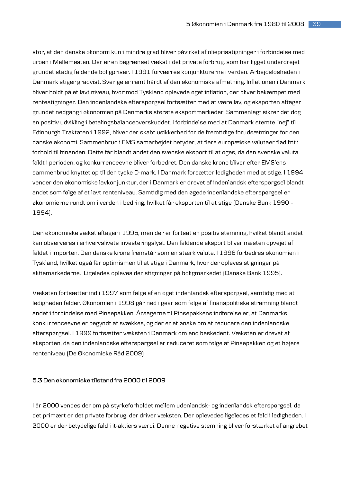stor, at den danske økonomi kun i mindre grad bliver påvirket af olieprisstigninger i forbindelse med uroen i Mellemøsten. Der er en begrænset vækst i det private forbrug, som har ligget underdrejet grundet stadig faldende boligpriser. I 1991 forværres konjunkturerne i verden. Arbejdsløsheden i Danmark stiger gradvist. Sverige er ramt hårdt af den økonomiske afmatning. Inflationen i Danmark bliver holdt på et lavt niveau, hvorimod Tyskland oplevede øget inflation, der bliver bekæmpet med rentestigninger. Den indenlandske efterspørgsel fortsætter med at være lav, og eksporten aftager grundet nedgang i økonomien på Danmarks største eksportmarkeder. Sammenlagt sikrer det dog en positiv udvikling i betalingsbalanceoverskuddet. I forbindelse med at Danmark stemte "nej" til Edinburgh Traktaten i 1992, bliver der skabt usikkerhed for de fremtidige forudsætninger for den danske økonomi. Sammenbrud i EMS samarbejdet betyder, at flere europæiske valutaer flød frit i forhold til hinanden. Dette får blandt andet den svenske eksport til at øges, da den svenske valuta faldt i perioden, og konkurrenceevne bliver forbedret. Den danske krone bliver efter EMS'ens sammenbrud knyttet op til den tyske D-mark. I Danmark forsætter ledigheden med at stige. I 1994 vender den økonomiske lavkonjunktur, der i Danmark er drevet af indenlandsk efterspørgsel blandt andet som følge af et lavt renteniveau. Samtidig med den øgede indenlandske efterspørgsel er økonomierne rundt om i verden i bedring, hvilket får eksporten til at stige (Danske Bank 1990 – 1994).

Den økonomiske vækst aftager i 1995, men der er fortsat en positiv stemning, hvilket blandt andet kan observeres i erhvervslivets investeringslyst. Den faldende eksport bliver næsten opvejet af faldet i importen. Den danske krone fremstår som en stærk valuta. I 1996 forbedres økonomien i Tyskland, hvilket også får optimismen til at stige i Danmark, hvor der opleves stigninger på aktiemarkederne. Ligeledes opleves der stigninger på boligmarkedet (Danske Bank 1995).

Væksten fortsætter ind i 1997 som følge af en øget indenlandsk efterspørgsel, samtidig med at ledigheden falder. Økonomien i 1998 går ned i gear som følge af finanspolitiske stramning blandt andet i forbindelse med Pinsepakken. Årsagerne til Pinsepakkens indførelse er, at Danmarks konkurrenceevne er begyndt at svækkes, og der er et ønske om at reducere den indenlandske efterspørgsel. I 1999 fortsætter væksten i Danmark om end beskedent. Væksten er drevet af eksporten, da den indenlandske efterspørgsel er reduceret som følge af Pinsepakken og et højere renteniveau (De Økonomiske Råd 2009)

### **5.3 Den økonomiske tilstand fra 2000 til 2009**

I år 2000 vendes der om på styrkeforholdet mellem udenlandsk- og indenlandsk efterspørgsel, da det primært er det private forbrug, der driver væksten. Der oplevedes ligeledes et fald i ledigheden. I 2000 er der betydelige fald i it-aktiers værdi. Denne negative stemning bliver forstærket af angrebet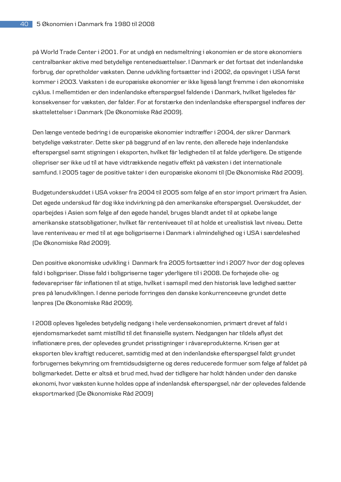på World Trade Center i 2001. For at undgå en nedsmeltning i økonomien er de store økonomiers centralbanker aktive med betydelige rentenedsættelser. I Danmark er det fortsat det indenlandske forbrug, der opretholder væksten. Denne udvikling fortsætter ind i 2002, da opsvinget i USA først kommer i 2003. Væksten i de europæiske økonomier er ikke ligeså langt fremme i den økonomiske cyklus. I mellemtiden er den indenlandske efterspørgsel faldende i Danmark, hvilket ligeledes får konsekvenser for væksten, der falder. For at forstærke den indenlandske efterspørgsel indføres der skattelettelser i Danmark (De Økonomiske Råd 2009).

Den længe ventede bedring i de europæiske økonomier indtræffer i 2004, der sikrer Danmark betydelige vækstrater. Dette sker på baggrund af en lav rente, den allerede høje indenlandske efterspørgsel samt stigningen i eksporten, hvilket får ledigheden til at falde yderligere. De stigende oliepriser ser ikke ud til at have vidtrækkende negativ effekt på væksten i det internationale samfund. I 2005 tager de positive takter i den europæiske økonomi til (De Økonomiske Råd 2009).

Budgetunderskuddet i USA vokser fra 2004 til 2005 som følge af en stor import primært fra Asien. Det øgede underskud får dog ikke indvirkning på den amerikanske efterspørgsel. Overskuddet, der oparbejdes i Asien som følge af den øgede handel, bruges blandt andet til at opkøbe lange amerikanske statsobligationer, hvilket får renteniveauet til at holde et urealistisk lavt niveau. Dette lave renteniveau er med til at øge boligpriserne i Danmark i almindelighed og i USA i særdeleshed (De Økonomiske Råd 2009).

Den positive økonomiske udvikling i Danmark fra 2005 fortsætter ind i 2007 hvor der dog opleves fald i boligpriser. Disse fald i boligpriserne tager yderligere til i 2008. De forhøjede olie- og fødevarepriser får inflationen til at stige, hvilket i samspil med den historisk lave ledighed sætter pres på lønudviklingen. I denne periode forringes den danske konkurrenceevne grundet dette lønpres (De Økonomiske Råd 2009).

I 2008 opleves ligeledes betydelig nedgang i hele verdensøkonomien, primært drevet af fald i ejendomsmarkedet samt mistillid til det finansielle system. Nedgangen har tildels aflyst det inflationære pres, der oplevedes grundet prisstigninger i råvareprodukterne. Krisen gør at eksporten blev kraftigt reduceret, samtidig med at den indenlandske efterspørgsel faldt grundet forbrugernes bekymring om fremtidsudsigterne og deres reducerede formuer som følge af faldet på boligmarkedet. Dette er altså et brud med, hvad der tidligere har holdt hånden under den danske økonomi, hvor væksten kunne holdes oppe af indenlandsk efterspørgsel, når der oplevedes faldende eksportmarked (De Økonomiske Råd 2009)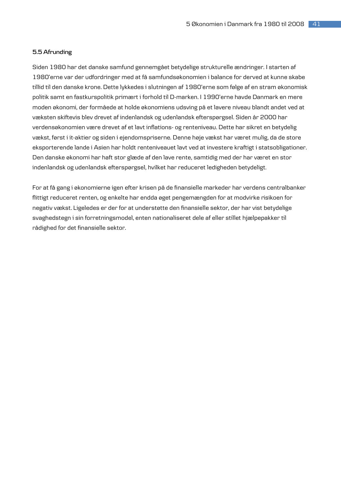# **5.5 Afrunding**

Siden 1980 har det danske samfund gennemgået betydelige strukturelle ændringer. I starten af 1980'erne var der udfordringer med at få samfundsøkonomien i balance for derved at kunne skabe tillid til den danske krone. Dette lykkedes i slutningen af 1980'erne som følge af en stram økonomisk politik samt en fastkurspolitik primært i forhold til D-marken. I 1990'erne havde Danmark en mere moden økonomi, der formåede at holde økonomiens udsving på et lavere niveau blandt andet ved at væksten skiftevis blev drevet af indenlandsk og udenlandsk efterspørgsel. Siden år 2000 har verdensøkonomien være drevet af et lavt inflations- og renteniveau. Dette har sikret en betydelig vækst, først i it-aktier og siden i ejendomspriserne. Denne høje vækst har været mulig, da de store eksporterende lande i Asien har holdt renteniveauet lavt ved at investere kraftigt i statsobligationer. Den danske økonomi har haft stor glæde af den lave rente, samtidig med der har været en stor indenlandsk og udenlandsk efterspørgsel, hvilket har reduceret ledigheden betydeligt.

For at få gang i økonomierne igen efter krisen på de finansielle markeder har verdens centralbanker flittigt reduceret renten, og enkelte har endda øget pengemængden for at modvirke risikoen for negativ vækst. Ligeledes er der for at understøtte den finansielle sektor, der har vist betydelige svaghedstegn i sin forretningsmodel, enten nationaliseret dele af eller stillet hjælpepakker til rådighed for det finansielle sektor.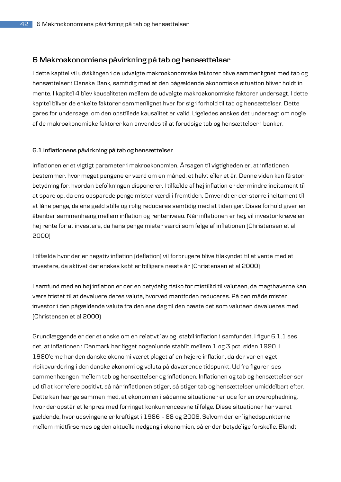# **6 Makroøkonomiens påvirkning på tab og hensættelser**

I dette kapitel vil udviklingen i de udvalgte makroøkonomiske faktorer blive sammenlignet med tab og hensættelser i Danske Bank, samtidig med at den pågældende økonomiske situation bliver holdt in mente. I kapitel 4 blev kausaliteten mellem de udvalgte makroøkonomiske faktorer undersøgt. I dette kapitel bliver de enkelte faktorer sammenlignet hver for sig i forhold til tab og hensættelser. Dette gøres for undersøge, om den opstillede kausalitet er valid. Ligeledes ønskes det undersøgt om nogle af de makroøkonomiske faktorer kan anvendes til at forudsige tab og hensættelser i banker.

#### **6.1 Inflationens påvirkning på tab og hensættelser**

Inflationen er et vigtigt parameter i makroøkonomien. Årsagen til vigtigheden er, at inflationen bestemmer, hvor meget pengene er værd om en måned, et halvt eller et år. Denne viden kan få stor betydning for, hvordan befolkningen disponerer. I tilfælde af høj inflation er der mindre incitament til at spare op, da ens opsparede penge mister værdi i fremtiden. Omvendt er der større incitament til at låne penge, da ens gæld stille og rolig reduceres samtidig med at tiden gør. Disse forhold giver en åbenbar sammenhæng mellem inflation og renteniveau. Når inflationen er høj, vil investor kræve en høj rente for at investere, da hans penge mister værdi som følge af inflationen (Christensen et al 2000)

I tilfælde hvor der er negativ inflation (deflation) vil forbrugere blive tilskyndet til at vente med at investere, da aktivet der ønskes købt er billigere næste år (Christensen et al 2000)

I samfund med en høj inflation er der en betydelig risiko for mistillid til valutaen, da magthaverne kan være fristet til at devaluere deres valuta, hvorved møntfoden reduceres. På den måde mister investor i den pågældende valuta fra den ene dag til den næste det som valutaen devalueres med (Christensen et al 2000)

Grundlæggende er der et ønske om en relativt lav og stabil inflation i samfundet. I figur 6.1.1 ses det, at inflationen i Danmark har ligget nogenlunde stabilt mellem 1 og 3 pct. siden 1990. I 1980'erne har den danske økonomi været plaget af en højere inflation, da der var en øget risikovurdering i den danske økonomi og valuta på daværende tidspunkt. Ud fra figuren ses sammenhængen mellem tab og hensættelser og inflationen. Inflationen og tab og hensættelser ser ud til at korrelere positivt, så når inflationen stiger, så stiger tab og hensættelser umiddelbart efter. Dette kan hænge sammen med, at økonomien i sådanne situationer er ude for en overophedning, hvor der opstår et lønpres med forringet konkurrenceevne tilfølge. Disse situationer har været gældende, hvor udsvingene er kraftigst i 1986 – 88 og 2008. Selvom der er lighedspunkterne mellem midtfirsernes og den aktuelle nedgang i økonomien, så er der betydelige forskelle. Blandt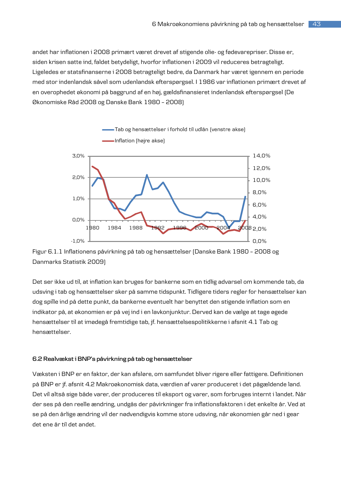andet har inflationen i 2008 primært været drevet af stigende olie- og fødevarepriser. Disse er, siden krisen satte ind, faldet betydeligt, hvorfor inflationen i 2009 vil reduceres betragteligt. Ligeledes er statsfinanserne i 2008 betragteligt bedre, da Danmark har været igennem en periode med stor indenlandsk såvel som udenlandsk efterspørgsel. I 1986 var inflationen primært drevet af en overophedet økonomi på baggrund af en høj, gældsfinansieret indenlandsk efterspørgsel (De Økonomiske Råd 2008 og Danske Bank 1980 – 2008)





Det ser ikke ud til, at inflation kan bruges for bankerne som en tidlig advarsel om kommende tab, da udsving i tab og hensættelser sker på samme tidspunkt. Tidligere tiders regler for hensættelser kan dog spille ind på dette punkt, da bankerne eventuelt har benyttet den stigende inflation som en indikator på, at økonomien er på vej ind i en lavkonjunktur. Derved kan de vælge at tage øgede hensættelser til at imødegå fremtidige tab, jf. hensættelsespolitikkerne i afsnit 4.1 Tab og hensættelser.

#### **6.2 Realvækst i BNP's påvirkning på tab og hensættelser**

Væksten i BNP er en faktor, der kan afsløre, om samfundet bliver rigere eller fattigere. Definitionen på BNP er jf. afsnit 4.2 Makroøkonomisk data, værdien af varer produceret i det pågældende land. Det vil altså sige både varer, der produceres til eksport og varer, som forbruges internt i landet. Når der ses på den reelle ændring, undgås der påvirkninger fra inflationsfaktoren i det enkelte år. Ved at se på den årlige ændring vil der nødvendigvis komme store udsving, når økonomien går ned i gear det ene år til det andet.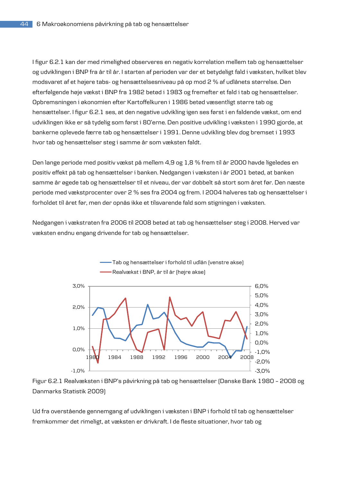I figur 6.2.1 kan der med rimelighed observeres en negativ korrelation mellem tab og hensættelser og udviklingen i BNP fra år til år. I starten af perioden var der et betydeligt fald i væksten, hvilket blev modsvaret af et højere tabs- og hensættelsesniveau på op mod 2 % af udlånets størrelse. Den efterfølgende høje vækst i BNP fra 1982 betød i 1983 og fremefter et fald i tab og hensættelser. Opbremsningen i økonomien efter Kartoffelkuren i 1986 betød væsentligt større tab og hensættelser. I figur 6.2.1 ses, at den negative udvikling igen ses først i en faldende vækst, om end udviklingen ikke er så tydelig som først i 80'erne. Den positive udvikling i væksten i 1990 gjorde, at bankerne oplevede færre tab og hensættelser i 1991. Denne udvikling blev dog bremset i 1993 hvor tab og hensættelser steg i samme år som væksten faldt.

Den lange periode med positiv vækst på mellem 4,9 og 1,8 % frem til år 2000 havde ligeledes en positiv effekt på tab og hensættelser i banken. Nedgangen i væksten i år 2001 betød, at banken samme år øgede tab og hensættelser til et niveau, der var dobbelt så stort som året før. Den næste periode med vækstprocenter over 2 % ses fra 2004 og frem. I 2004 halveres tab og hensættelser i forholdet til året før, men der opnås ikke et tilsvarende fald som stigningen i væksten.

Nedgangen i vækstraten fra 2006 til 2008 betød at tab og hensættelser steg i 2008. Herved var væksten endnu engang drivende for tab og hensættelser.



Figur 6.2.1 Realvæksten i BNP's påvirkning på tab og hensættelser (Danske Bank 1980 – 2008 og Danmarks Statistik 2009)

Ud fra overstående gennemgang af udviklingen i væksten i BNP i forhold til tab og hensættelser fremkommer det rimeligt, at væksten er drivkraft. I de fleste situationer, hvor tab og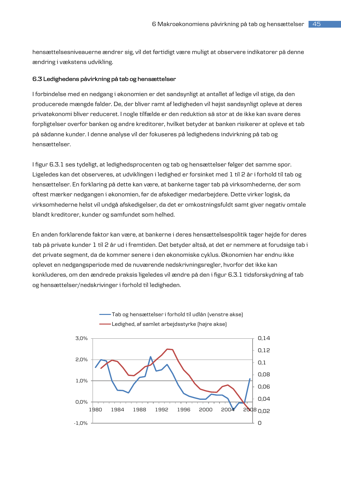hensættelsesniveauerne ændrer sig, vil det førtidigt være muligt at observere indikatorer på denne ændring i vækstens udvikling.

### **6.3 Ledighedens påvirkning på tab og hensættelser**

I forbindelse med en nedgang i økonomien er det sandsynligt at antallet af ledige vil stige, da den producerede mængde falder. De, der bliver ramt af ledigheden vil højst sandsynligt opleve at deres privatøkonomi bliver reduceret. I nogle tilfælde er den reduktion så stor at de ikke kan svare deres forpligtelser overfor banken og andre kreditorer, hvilket betyder at banken risikerer at opleve et tab på sådanne kunder. I denne analyse vil der fokuseres på ledighedens indvirkning på tab og hensættelser.

I figur 6.3.1 ses tydeligt, at ledighedsprocenten og tab og hensættelser følger det samme spor. Ligeledes kan det observeres, at udviklingen i ledighed er forsinket med 1 til 2 år i forhold til tab og hensættelser. En forklaring på dette kan være, at bankerne tager tab på virksomhederne, der som oftest mærker nedgangen i økonomien, før de afskediger medarbejdere. Dette virker logisk, da virksomhederne helst vil undgå afskedigelser, da det er omkostningsfuldt samt giver negativ omtale blandt kreditorer, kunder og samfundet som helhed.

En anden forklarende faktor kan være, at bankerne i deres hensættelsespolitik tager højde for deres tab på private kunder 1 til 2 år ud i fremtiden. Det betyder altså, at det er nemmere at forudsige tab i det private segment, da de kommer senere i den økonomiske cyklus. Økonomien har endnu ikke oplevet en nedgangsperiode med de nuværende nedskrivningsregler, hvorfor det ikke kan konkluderes, om den ændrede praksis ligeledes vil ændre på den i figur 6.3.1 tidsforskydning af tab og hensættelser/nedskrivinger i forhold til ledigheden.

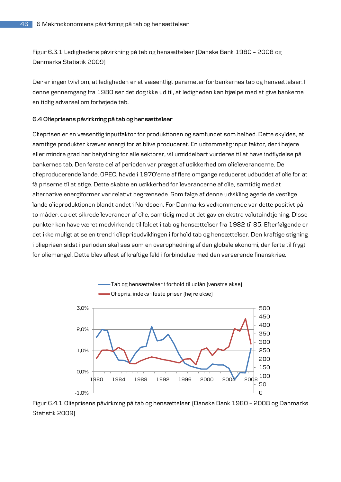Figur 6.3.1 Ledighedens påvirkning på tab og hensættelser (Danske Bank 1980 – 2008 og Danmarks Statistik 2009)

Der er ingen tvivl om, at ledigheden er et væsentligt parameter for bankernes tab og hensættelser. I denne gennemgang fra 1980 ser det dog ikke ud til, at ledigheden kan hjælpe med at give bankerne en tidlig advarsel om forhøjede tab.

#### **6.4 Olieprisens påvirkning på tab og hensættelser**

Olieprisen er en væsentlig inputfaktor for produktionen og samfundet som helhed. Dette skyldes, at samtlige produkter kræver energi for at blive produceret. En udtømmelig input faktor, der i højere eller mindre grad har betydning for alle sektorer, vil umiddelbart vurderes til at have indflydelse på bankernes tab. Den første del af perioden var præget af usikkerhed om olieleverancerne. De olieproducerende lande, OPEC, havde i 1970'erne af flere omgange reduceret udbuddet af olie for at få priserne til at stige. Dette skabte en usikkerhed for leverancerne af olie, samtidig med at alternative energiformer var relativt begrænsede. Som følge af denne udvikling øgede de vestlige lande olieproduktionen blandt andet i Nordsøen. For Danmarks vedkommende var dette positivt på to måder, da det sikrede leverancer af olie, samtidig med at det gav en ekstra valutaindtjening. Disse punkter kan have været medvirkende til faldet i tab og hensættelser fra 1982 til 85. Efterfølgende er det ikke muligt at se en trend i olieprisudviklingen i forhold tab og hensættelser. Den kraftige stigning i olieprisen sidst i perioden skal ses som en overophedning af den globale økonomi, der førte til frygt for oliemangel. Dette blev afløst af kraftige fald i forbindelse med den verserende finanskrise.



Figur 6.4.1 Olieprisens påvirkning på tab og hensættelser (Danske Bank 1980 – 2008 og Danmarks Statistik 2009)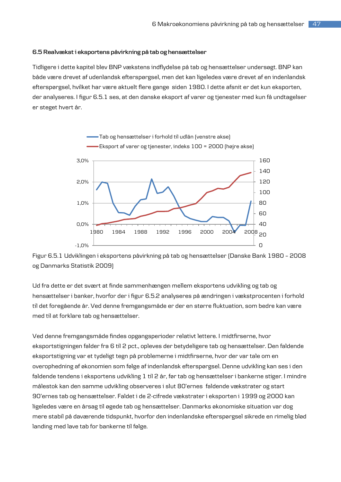#### **6.5 Realvækst i eksportens påvirkning på tab og hensættelser**

Tidligere i dette kapitel blev BNP vækstens indflydelse på tab og hensættelser undersøgt. BNP kan både være drevet af udenlandsk efterspørgsel, men det kan ligeledes være drevet af en indenlandsk efterspørgsel, hvilket har være aktuelt flere gange siden 1980. I dette afsnit er det kun eksporten, der analyseres. I figur 6.5.1 ses, at den danske eksport af varer og tjenester med kun få undtagelser er steget hvert år.





Ud fra dette er det svært at finde sammenhængen mellem eksportens udvikling og tab og hensættelser i banker, hvorfor der i figur 6.5.2 analyseres på ændringen i vækstprocenten i forhold til det foregående år. Ved denne fremgangsmåde er der en større fluktuation, som bedre kan være med til at forklare tab og hensættelser.

Ved denne fremgangsmåde findes opgangsperioder relativt lettere. I midtfirserne, hvor eksportstigningen falder fra 6 til 2 pct., opleves der betydeligere tab og hensættelser. Den faldende eksportstigning var et tydeligt tegn på problemerne i midtfirserne, hvor der var tale om en overophedning af økonomien som følge af indenlandsk efterspørgsel. Denne udvikling kan ses i den faldende tendens i eksportens udvikling 1 til 2 år, før tab og hensættelser i bankerne stiger. I mindre målestok kan den samme udvikling observeres i slut 80'ernes faldende vækstrater og start 90'ernes tab og hensættelser. Faldet i de 2-cifrede vækstrater i eksporten i 1999 og 2000 kan ligeledes være en årsag til øgede tab og hensættelser. Danmarks økonomiske situation var dog mere stabil på daværende tidspunkt, hvorfor den indenlandske efterspørgsel sikrede en rimelig blød landing med lave tab for bankerne til følge.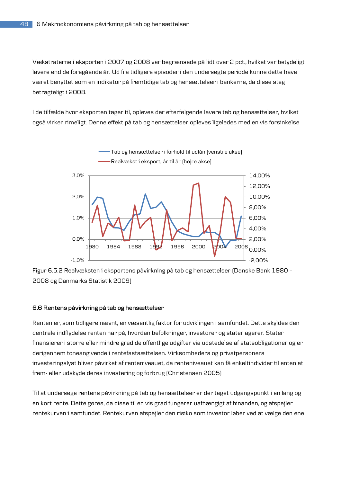Vækstraterne i eksporten i 2007 og 2008 var begrænsede på lidt over 2 pct., hvilket var betydeligt lavere end de foregående år. Ud fra tidligere episoder i den undersøgte periode kunne dette have været benyttet som en indikator på fremtidige tab og hensættelser i bankerne, da disse steg betragteligt i 2008.

I de tilfælde hvor eksporten tager til, opleves der efterfølgende lavere tab og hensættelser, hvilket også virker rimeligt. Denne effekt på tab og hensættelser opleves ligeledes med en vis forsinkelse



Figur 6.5.2 Realvæksten i eksportens påvirkning på tab og hensættelser (Danske Bank 1980 – 2008 og Danmarks Statistik 2009)

### **6.6 Rentens påvirkning på tab og hensættelser**

Renten er, som tidligere nævnt, en væsentlig faktor for udviklingen i samfundet. Dette skyldes den centrale indflydelse renten har på, hvordan befolkninger, investorer og stater agerer. Stater finansierer i større eller mindre grad de offentlige udgifter via udstedelse af statsobligationer og er derigennem toneangivende i rentefastsættelsen. Virksomheders og privatpersoners investeringslyst bliver påvirket af renteniveauet, da renteniveauet kan få enkeltindivider til enten at frem- eller udskyde deres investering og forbrug (Christensen 2005)

Til at undersøge rentens påvirkning på tab og hensættelser er der taget udgangspunkt i en lang og en kort rente. Dette gøres, da disse til en vis grad fungerer uafhængigt af hinanden, og afspejler rentekurven i samfundet. Rentekurven afspejler den risiko som investor løber ved at vælge den ene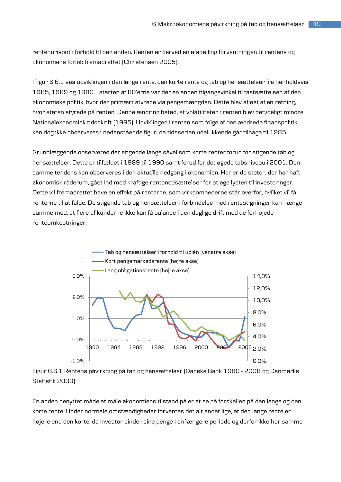rentehorisont i forhold til den anden. Renten er derved en afspejling forventningen til rentens og økonomiens forløb fremadrettet (Christensen 2005).

I figur 6.6.1 ses udviklingen i den lange rente, den korte rente og tab og hensættelser fra henholdsvis 1985, 1989 og 1980. I starten af 80'erne var der en anden tilgangsvinkel til fastsættelsen af den økonomiske politik, hvor der primært styrede via pengemængden. Dette blev afløst af en retning, hvor staten styrede på renten. Denne ændring betød, at volatiliteten i renten blev betydeligt mindre Nationaløkonomisk tidsskrift (1995). Udviklingen i renten som følge af den ændrede finanspolitik kan dog ikke observeres i nedenstående figur, da tidsserien udelukkende går tilbage til 1985.

Grundlæggende observeres der stigende lange såvel som korte renter forud for stigende tab og hensættelser. Dette er tilfældet i 1989 til 1990 samt forud for det øgede tabsniveau i 2001. Den samme tendens kan observeres i den aktuelle nedgang i økonomien. Her er de stater, der har haft økonomisk råderum, gået ind med kraftige rentenedsættelser for at øge lysten til investeringer. Dette vil fremadrettet have en effekt på renterne, som virksomhederne står overfor, hvilket vil få renterne til at falde. De stigende tab og hensættelser i forbindelse med rentestigninger kan hænge samme med, at flere af kunderne ikke kan få balance i den daglige drift med de forhøjede renteomkostninger.





En anden benyttet måde at måle økonomiens tilstand på er at se på forskellen på den lange og den korte rente. Under normale omstændigheder forventes det alt andet lige, at den lange rente er højere end den korte, da investor binder sine penge i en længere periode og derfor ikke har samme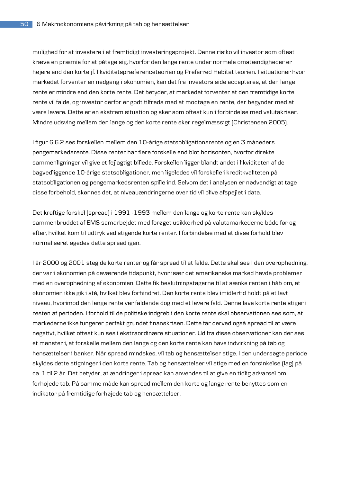mulighed for at investere i et fremtidigt investeringsprojekt. Denne risiko vil investor som oftest kræve en præmie for at påtage sig, hvorfor den lange rente under normale omstændigheder er højere end den korte jf. likviditetspræferenceteorien og Preferred Habitat teorien. I situationer hvor markedet forventer en nedgang i økonomien, kan det fra investors side accepteres, at den lange rente er mindre end den korte rente. Det betyder, at markedet forventer at den fremtidige korte rente vil falde, og investor derfor er godt tilfreds med at modtage en rente, der begynder med at være lavere. Dette er en ekstrem situation og sker som oftest kun i forbindelse med valutakriser. Mindre udsving mellem den lange og den korte rente sker regelmæssigt (Christensen 2005).

I figur 6.6.2 ses forskellen mellem den 10-årige statsobligationsrente og en 3 måneders pengemarkedsrente. Disse renter har flere forskelle end blot horisonten, hvorfor direkte sammenligninger vil give et fejlagtigt billede. Forskellen ligger blandt andet i likviditeten af de bagvedliggende 10-årige statsobligationer, men ligeledes vil forskelle i kreditkvaliteten på statsobligationen og pengemarkedsrenten spille ind. Selvom det i analysen er nødvendigt at tage disse forbehold, skønnes det, at niveauændringerne over tid vil blive afspejlet i data.

Det kraftige forskel (spread) i 1991 -1993 mellem den lange og korte rente kan skyldes sammenbruddet af EMS samarbejdet med forøget usikkerhed på valutamarkederne både før og efter, hvilket kom til udtryk ved stigende korte renter. I forbindelse med at disse forhold blev normaliseret øgedes dette spread igen.

I år 2000 og 2001 steg de korte renter og får spread til at falde. Dette skal ses i den overophedning, der var i økonomien på daværende tidspunkt, hvor især det amerikanske marked havde problemer med en overophedning af økonomien. Dette fik beslutningstagerne til at sænke renten i håb om, at økonomien ikke gik i stå, hvilket blev forhindret. Den korte rente blev imidlertid holdt på et lavt niveau, hvorimod den lange rente var faldende dog med et lavere fald. Denne lave korte rente stiger i resten af perioden. I forhold til de politiske indgreb i den korte rente skal observationen ses som, at markederne ikke fungerer perfekt grundet finanskrisen. Dette får derved også spread til at være negativt, hvilket oftest kun ses i ekstraordinære situationer. Ud fra disse observationer kan der ses et mønster i, at forskelle mellem den lange og den korte rente kan have indvirkning på tab og hensættelser i banker. Når spread mindskes, vil tab og hensættelser stige. I den undersøgte periode skyldes dette stigninger i den korte rente. Tab og hensættelser vil stige med en forsinkelse (lag) på ca. 1 til 2 år. Det betyder, at ændringer i spread kan anvendes til at give en tidlig advarsel om forhøjede tab. På samme måde kan spread mellem den korte og lange rente benyttes som en indikator på fremtidige forhøjede tab og hensættelser.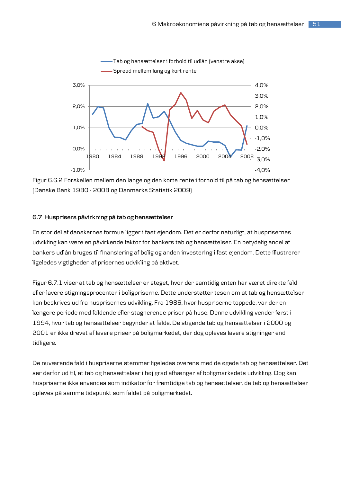



#### **6.7 Husprisers påvirkning på tab og hensættelser**

En stor del af danskernes formue ligger i fast ejendom. Det er derfor naturligt, at husprisernes udvikling kan være en påvirkende faktor for bankers tab og hensættelser. En betydelig andel af bankers udlån bruges til finansiering af bolig og anden investering i fast ejendom. Dette illustrerer ligeledes vigtigheden af prisernes udvikling på aktivet.

Figur 6.7.1 viser at tab og hensættelser er steget, hvor der samtidig enten har været direkte fald eller lavere stigningsprocenter i boligpriserne. Dette understøtter tesen om at tab og hensættelser kan beskrives ud fra husprisernes udvikling. Fra 1986, hvor huspriserne toppede, var der en længere periode med faldende eller stagnerende priser på huse. Denne udvikling vender først i 1994, hvor tab og hensættelser begynder at falde. De stigende tab og hensættelser i 2000 og 2001 er ikke drevet af lavere priser på boligmarkedet, der dog opleves lavere stigninger end tidligere.

De nuværende fald i huspriserne stemmer ligeledes overens med de øgede tab og hensættelser. Det ser derfor ud til, at tab og hensættelser i høj grad afhænger af boligmarkedets udvikling. Dog kan huspriserne ikke anvendes som indikator for fremtidige tab og hensættelser, da tab og hensættelser opleves på samme tidspunkt som faldet på boligmarkedet.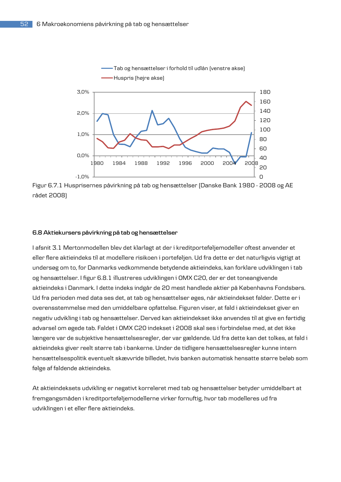

Figur 6.7.1 Husprisernes påvirkning på tab og hensættelser (Danske Bank 1980 - 2008 og AE rådet 2008)

#### **6.8 Aktiekursers påvirkning på tab og hensættelser**

I afsnit 3.1 Mertonmodellen blev det klarlagt at der i kreditporteføljemodeller oftest anvender et eller flere aktieindeks til at modellere risikoen i porteføljen. Ud fra dette er det naturligvis vigtigt at undersøg om to, for Danmarks vedkommende betydende aktieindeks, kan forklare udviklingen i tab og hensættelser. I figur 6.8.1 illustreres udviklingen i OMX C20, der er det toneangivende aktieindeks i Danmark. I dette indeks indgår de 20 mest handlede aktier på Københavns Fondsbørs. Ud fra perioden med data ses det, at tab og hensættelser øges, når aktieindekset falder. Dette er i overensstemmelse med den umiddelbare opfattelse. Figuren viser, at fald i aktieindekset giver en negativ udvikling i tab og hensættelser. Derved kan aktieindekset ikke anvendes til at give en førtidig advarsel om øgede tab. Faldet i OMX C20 indekset i 2008 skal ses i forbindelse med, at det ikke længere var de subjektive hensættelsesregler, der var gældende. Ud fra dette kan det tolkes, at fald i aktieindeks giver reelt større tab i bankerne. Under de tidligere hensættelsesregler kunne intern hensættelsespolitik eventuelt skævvride billedet, hvis banken automatisk hensatte større beløb som følge af faldende aktieindeks.

At aktieindeksets udvikling er negativt korreleret med tab og hensættelser betyder umiddelbart at fremgangsmåden i kreditporteføljemodellerne virker fornuftig, hvor tab modelleres ud fra udviklingen i et eller flere aktieindeks.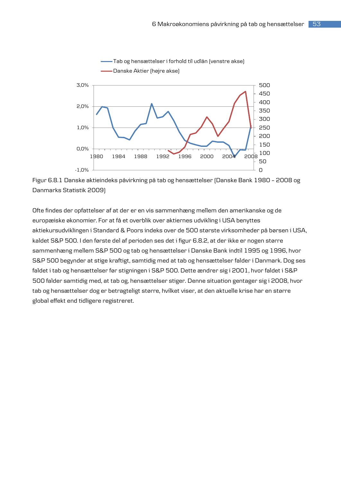



Ofte findes der opfattelser af at der er en vis sammenhæng mellem den amerikanske og de europæiske økonomier. For at få et overblik over aktiernes udvikling i USA benyttes aktiekursudviklingen i Standard & Poors indeks over de 500 største virksomheder på børsen i USA, kaldet S&P 500. I den første del af perioden ses det i figur 6.8.2, at der ikke er nogen større sammenhæng mellem S&P 500 og tab og hensættelser i Danske Bank indtil 1995 og 1996, hvor S&P 500 begynder at stige kraftigt, samtidig med at tab og hensættelser falder i Danmark. Dog ses faldet i tab og hensættelser før stigningen i S&P 500. Dette ændrer sig i 2001, hvor faldet i S&P 500 falder samtidig med, at tab og, hensættelser stiger. Denne situation gentager sig i 2008, hvor tab og hensættelser dog er betragteligt større, hvilket viser, at den aktuelle krise har en større global effekt end tidligere registreret.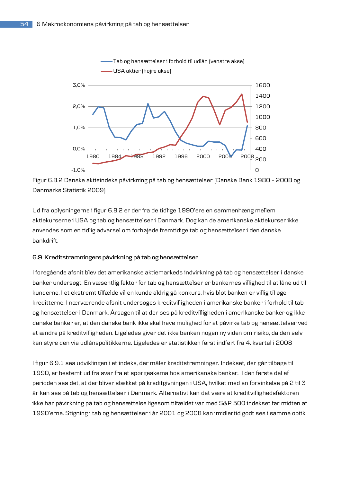



Ud fra oplysningerne i figur 6.8.2 er der fra de tidlige 1990'ere en sammenhæng mellem aktiekurserne i USA og tab og hensættelser i Danmark. Dog kan de amerikanske aktiekurser ikke anvendes som en tidlig advarsel om forhøjede fremtidige tab og hensættelser i den danske bankdrift.

### **6.9 Kreditstramningers påvirkning på tab og hensættelser**

I foregående afsnit blev det amerikanske aktiemarkeds indvirkning på tab og hensættelser i danske banker undersøgt. En væsentlig faktor for tab og hensættelser er bankernes villighed til at låne ud til kunderne. I et ekstremt tilfælde vil en kunde aldrig gå konkurs, hvis blot banken er villig til øge kreditterne. I nærværende afsnit undersøges kreditvilligheden i amerikanske banker i forhold til tab og hensættelser i Danmark. Årsagen til at der ses på kreditvilligheden i amerikanske banker og ikke danske banker er, at den danske bank ikke skal have mulighed for at påvirke tab og hensættelser ved at ændre på kreditvilligheden. Ligeledes giver det ikke banken nogen ny viden om risiko, da den selv kan styre den via udlånspolitikkerne. Ligeledes er statistikken først indført fra 4. kvartal i 2008

I figur 6.9.1 ses udviklingen i et indeks, der måler kreditstramninger. Indekset, der går tilbage til 1990, er bestemt ud fra svar fra et spørgeskema hos amerikanske banker. I den første del af perioden ses det, at der bliver slækket på kreditgivningen i USA, hvilket med en forsinkelse på 2 til 3 år kan ses på tab og hensættelser i Danmark. Alternativt kan det være at kreditvillighedsfaktoren ikke har påvirkning på tab og hensættelse ligesom tilfældet var med S&P 500 indekset før midten af 1990'erne. Stigning i tab og hensættelser i år 2001 og 2008 kan imidlertid godt ses i samme optik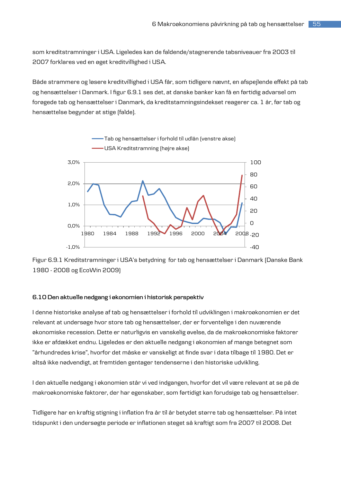som kreditstramninger i USA. Ligeledes kan de faldende/stagnerende tabsniveauer fra 2003 til 2007 forklares ved en øget kreditvillighed i USA.

Både strammere og løsere kreditvillighed i USA får, som tidligere nævnt, en afspejlende effekt på tab og hensættelser i Danmark. I figur 6.9.1 ses det, at danske banker kan få en førtidig advarsel om forøgede tab og hensættelser i Danmark, da kreditstamningsindekset reagerer ca. 1 år, før tab og hensættelse begynder at stige (falde).





### **6.10 Den aktuelle nedgang i økonomien i historisk perspektiv**

I denne historiske analyse af tab og hensættelser i forhold til udviklingen i makroøkonomien er det relevant at undersøge hvor store tab og hensættelser, der er forventelige i den nuværende økonomiske recession. Dette er naturligvis en vanskelig øvelse, da de makroøkonomiske faktorer ikke er afdækket endnu. Ligeledes er den aktuelle nedgang i økonomien af mange betegnet som "århundredes krise", hvorfor det måske er vanskeligt at finde svar i data tilbage til 1980. Det er altså ikke nødvendigt, at fremtiden gentager tendenserne i den historiske udvikling.

I den aktuelle nedgang i økonomien står vi ved indgangen, hvorfor det vil være relevant at se på de makroøkonomiske faktorer, der har egenskaber, som førtidigt kan forudsige tab og hensættelser.

Tidligere har en kraftig stigning i inflation fra år til år betydet større tab og hensættelser. På intet tidspunkt i den undersøgte periode er inflationen steget så kraftigt som fra 2007 til 2008. Det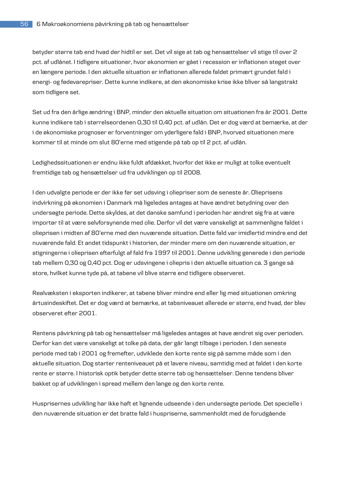betyder større tab end hvad der hidtil er set. Det vil sige at tab og hensættelser vil stige til over 2 pct. af udlånet. I tidligere situationer, hvor økonomien er gået i recession er inflationen steget over en længere periode. I den aktuelle situation er inflationen allerede faldet primært grundet fald i energi- og fødevarepriser. Dette kunne indikere, at den økonomiske krise ikke bliver så langstrakt som tidligere set.

Set ud fra den årlige ændring i BNP, minder den aktuelle situation om situationen fra år 2001. Dette kunne indikere tab i størrelseordenen 0,30 til 0,40 pct. af udlån. Det er dog værd at bemærke, at der i de økonomiske prognoser er forventninger om yderligere fald i BNP, hvorved situationen mere kommer til at minde om slut 80'erne med stigende på tab op til 2 pct. af udlån.

Ledighedssituationen er endnu ikke fuldt afdækket, hvorfor det ikke er muligt at tolke eventuelt fremtidige tab og hensættelser ud fra udviklingen op til 2008.

I den udvalgte periode er der ikke før set udsving i oliepriser som de seneste år. Olieprisens indvirkning på økonomien i Danmark må ligeledes antages at have ændret betydning over den undersøgte periode. Dette skyldes, at det danske samfund i perioden har ændret sig fra at være importør til at være selvforsynende med olie. Derfor vil det være vanskeligt at sammenligne faldet i olieprisen i midten af 80'erne med den nuværende situation. Dette fald var imidlertid mindre end det nuværende fald. Et andet tidspunkt i historien, der minder mere om den nuværende situation, er stigningerne i olieprisen efterfulgt af fald fra 1997 til 2001. Denne udvikling generede i den periode tab mellem 0,30 og 0,40 pct. Dog er udsvingene i oliepris i den aktuelle situation ca. 3 gange så store, hvilket kunne tyde på, at tabene vil blive større end tidligere observeret.

Realvæksten i eksporten indikerer, at tabene bliver mindre end eller lig med situationen omkring årtusindeskiftet. Det er dog værd at bemærke, at tabsniveauet allerede er større, end hvad, der blev observeret efter 2001.

Rentens påvirkning på tab og hensættelser må ligeledes antages at have ændret sig over perioden. Derfor kan det være vanskeligt at tolke på data, der går langt tilbage i perioden. I den seneste periode med tab i 2001 og fremefter, udviklede den korte rente sig på samme måde som i den aktuelle situation. Dog starter renteniveauet på et lavere niveau, samtidig med at faldet i den korte rente er større. I historisk optik betyder dette større tab og hensættelser. Denne tendens bliver bakket op af udviklingen i spread mellem den lange og den korte rente.

Husprisernes udvikling har ikke haft et lignende udseende i den undersøgte periode. Det specielle i den nuværende situation er det bratte fald i huspriserne, sammenholdt med de forudgående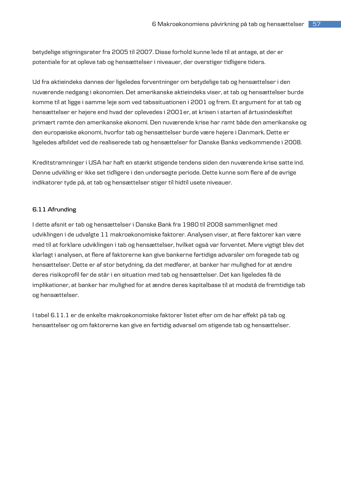betydelige stigningsrater fra 2005 til 2007. Disse forhold kunne lede til at antage, at der er potentiale for at opleve tab og hensættelser i niveauer, der overstiger tidligere tiders.

Ud fra aktieindeks dannes der ligeledes forventninger om betydelige tab og hensættelser i den nuværende nedgang i økonomien. Det amerikanske aktieindeks viser, at tab og hensættelser burde komme til at ligge i samme leje som ved tabssituationen i 2001 og frem. Et argument for at tab og hensættelser er højere end hvad der oplevedes i 2001er, at krisen i starten af årtusindeskiftet primært ramte den amerikanske økonomi. Den nuværende krise har ramt både den amerikanske og den europæiske økonomi, hvorfor tab og hensættelser burde være højere i Danmark. Dette er ligeledes afbildet ved de realiserede tab og hensættelser for Danske Banks vedkommende i 2008.

Kreditstramninger i USA har haft en stærkt stigende tendens siden den nuværende krise satte ind. Denne udvikling er ikke set tidligere i den undersøgte periode. Dette kunne som flere af de øvrige indikatorer tyde på, at tab og hensættelser stiger til hidtil usete niveauer.

### **6.11 Afrunding**

I dette afsnit er tab og hensættelser i Danske Bank fra 1980 til 2008 sammenlignet med udviklingen i de udvalgte 11 makroøkonomiske faktorer. Analysen viser, at flere faktorer kan være med til at forklare udviklingen i tab og hensættelser, hvilket også var forventet. Mere vigtigt blev det klarlagt i analysen, at flere af faktorerne kan give bankerne førtidige advarsler om forøgede tab og hensættelser. Dette er af stor betydning, da det medfører, at banker har mulighed for at ændre deres risikoprofil før de står i en situation med tab og hensættelser. Det kan ligeledes få de implikationer, at banker har mulighed for at ændre deres kapitalbase til at modstå de fremtidige tab og hensættelser.

I tabel 6.11.1 er de enkelte makroøkonomiske faktorer listet efter om de har effekt på tab og hensættelser og om faktorerne kan give en førtidig advarsel om stigende tab og hensættelser.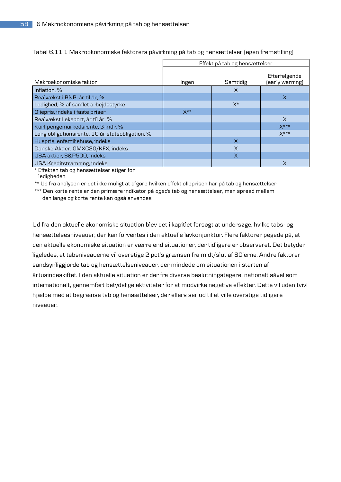|                                                 | Effekt på tab og hensættelser |              |                                  |  |  |  |  |
|-------------------------------------------------|-------------------------------|--------------|----------------------------------|--|--|--|--|
| Makroøkonomiske faktor                          | Ingen                         | Samtidig     | Efterfølgende<br>(early warning) |  |  |  |  |
| Inflation, %                                    |                               | X            |                                  |  |  |  |  |
| Realvækst i BNP, år til år, %                   |                               |              | X                                |  |  |  |  |
| Ledighed, % af samlet arbejdsstyrke             |                               | $X^*$        |                                  |  |  |  |  |
| Oliepris, indeks i faste priser                 | $X^{\star\star}$              |              |                                  |  |  |  |  |
| Realvækst i eksport, år til år, %               |                               |              | $\times$                         |  |  |  |  |
| Kort pengemarkedsrente, 3 mdr, %                |                               |              | $X***$                           |  |  |  |  |
| Lang obligationsrente, 10 år statsobligation, % |                               |              | $X***$                           |  |  |  |  |
| Huspris, enfamiliehuse, indeks                  |                               | $\mathsf{x}$ |                                  |  |  |  |  |
| Danske Aktier, OMXC20/KFX, indeks               |                               | X            |                                  |  |  |  |  |
| USA aktier, S&P500, indeks                      |                               | X            |                                  |  |  |  |  |
| USA Kreditstramning, indeks                     |                               |              | X                                |  |  |  |  |

Tabel 6.11.1 Makroøkonomiske faktorers påvirkning på tab og hensættelser (egen fremstilling)

\* Effekten tab og hensættelser stiger før

ledigheden

\*\* Ud fra analysen er det ikke muligt at afgøre hvilken effekt olieprisen har på tab og hensættelser

\*\*\* Den korte rente er den primære indikator på *øgede* tab og hensættelser, men spread mellem den lange og korte rente kan også anvendes

Ud fra den aktuelle økonomiske situation blev det i kapitlet forsøgt at undersøge, hvilke tabs- og hensættelsesniveauer, der kan forventes i den aktuelle lavkonjunktur. Flere faktorer pegede på, at den aktuelle økonomiske situation er værre end situationer, der tidligere er observeret. Det betyder ligeledes, at tabsniveauerne vil overstige 2 pct's grænsen fra midt/slut af 80'erne. Andre faktorer sandsynliggjorde tab og hensættelseniveauer, der mindede om situationen i starten af årtusindeskiftet. I den aktuelle situation er der fra diverse beslutningstagere, nationalt såvel som internationalt, gennemført betydelige aktiviteter for at modvirke negative effekter. Dette vil uden tvivl hjælpe med at begrænse tab og hensættelser, der ellers ser ud til at ville overstige tidligere niveauer.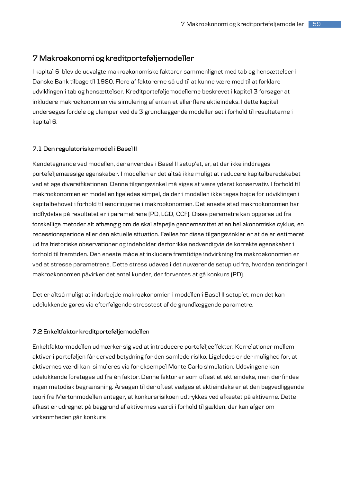# **7 Makroøkonomi og kreditporteføljemodeller**

I kapital 6 blev de udvalgte makroøkonomiske faktorer sammenlignet med tab og hensættelser i Danske Bank tilbage til 1980. Flere af faktorerne så ud til at kunne være med til at forklare udviklingen i tab og hensættelser. Kreditporteføljemodellerne beskrevet i kapitel 3 forsøger at inkludere makroøkonomien via simulering af enten et eller flere aktieindeks. I dette kapitel undersøges fordele og ulemper ved de 3 grundlæggende modeller set i forhold til resultaterne i kapital 6.

### **7.1 Den regulatoriske model i Basel II**

Kendetegnende ved modellen, der anvendes i Basel II setup'et, er, at der ikke inddrages porteføljemæssige egenskaber. I modellen er det altså ikke muligt at reducere kapitalberedskabet ved at øge diversifikationen. Denne tilgangsvinkel må siges at være yderst konservativ. I forhold til makroøkonomien er modellen ligeledes simpel, da der i modellen ikke tages højde for udviklingen i kapitalbehovet i forhold til ændringerne i makroøkonomien. Det eneste sted makroøkonomien har indflydelse på resultatet er i parametrene (PD, LGD, CCF). Disse parametre kan opgøres ud fra forskellige metoder alt afhængig om de skal afspejle gennemsnittet af en hel økonomiske cyklus, en recessionsperiode eller den aktuelle situation. Fælles for disse tilgangsvinkler er at de er estimeret ud fra historiske observationer og indeholder derfor ikke nødvendigvis de korrekte egenskaber i forhold til fremtiden. Den eneste måde at inkludere fremtidige indvirkning fra makroøkonomien er ved at stresse parametrene. Dette stress udøves i det nuværende setup ud fra, hvordan ændringer i makroøkonomien påvirker det antal kunder, der forventes at gå konkurs (PD).

Det er altså muligt at indarbejde makroøkonomien i modellen i Basel II setup'et, men det kan udelukkende gøres via efterfølgende stresstest af de grundlæggende parametre.

### **7.2 Enkeltfaktor kreditporteføljemodellen**

Enkeltfaktormodellen udmærker sig ved at introducere porteføljeeffekter. Korrelationer mellem aktiver i porteføljen får derved betydning for den samlede risiko. Ligeledes er der mulighed for, at aktivernes værdi kan simuleres via for eksempel Monte Carlo simulation. Udsvingene kan udelukkende foretages ud fra én faktor. Denne faktor er som oftest et aktieindeks, men der findes ingen metodisk begrænsning. Årsagen til der oftest vælges et aktieindeks er at den bagvedliggende teori fra Mertonmodellen antager, at konkursrisikoen udtrykkes ved afkastet på aktiverne. Dette afkast er udregnet på baggrund af aktivernes værdi i forhold til gælden, der kan afgør om virksomheden går konkurs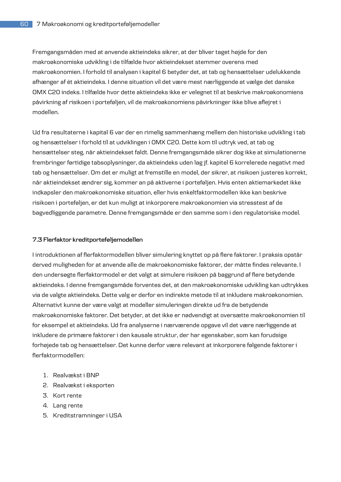Fremgangsmåden med at anvende aktieindeks sikrer, at der bliver taget højde for den makroøkonomiske udvikling i de tilfælde hvor aktieindekset stemmer overens med makroøkonomien. I forhold til analysen i kapitel 6 betyder det, at tab og hensættelser udelukkende afhænger af ét aktieindeks. I denne situation vil det være mest nærliggende at vælge det danske OMX C20 indeks. I tilfælde hvor dette aktieindeks ikke er velegnet til at beskrive makroøkonomiens påvirkning af risikoen i porteføljen, vil de makroøkonomiens påvirkninger ikke blive aflejret i modellen.

Ud fra resultaterne i kapital 6 var der en rimelig sammenhæng mellem den historiske udvikling i tab og hensættelser i forhold til at udviklingen i OMX C20. Dette kom til udtryk ved, at tab og hensættelser steg, når aktieindekset faldt. Denne fremgangsmåde sikrer dog ikke at simulationerne frembringer førtidige tabsoplysninger, da aktieindeks uden lag jf. kapitel 6 korrelerede negativt med tab og hensættelser. Om det er muligt at fremstille en model, der sikrer, at risikoen justeres korrekt, når aktieindekset ændrer sig, kommer an på aktiverne i porteføljen. Hvis enten aktiemarkedet ikke indkapsler den makroøkonomiske situation, eller hvis enkeltfaktormodellen ikke kan beskrive risikoen i porteføljen, er det kun muligt at inkorporere makroøkonomien via stresstest af de bagvedliggende parametre. Denne fremgangsmåde er den samme som i den regulatoriske model.

# **7.3 Flerfaktor kreditporteføljemodellen**

I introduktionen af flerfaktormodellen bliver simulering knyttet op på flere faktorer. I praksis opstår derved muligheden for at anvende alle de makroøkonomiske faktorer, der måtte findes relevante. I den undersøgte flerfaktormodel er det valgt at simulere risikoen på baggrund af flere betydende aktieindeks. I denne fremgangsmåde forventes det, at den makroøkonomiske udvikling kan udtrykkes via de valgte aktieindeks. Dette valg er derfor en indirekte metode til at inkludere makroøkonomien. Alternativt kunne der være valgt at modeller simuleringen direkte ud fra de betydende makroøkonomiske faktorer. Det betyder, at det ikke er nødvendigt at oversætte makroøkonomien til for eksempel et aktieindeks. Ud fra analyserne i nærværende opgave vil det være nærliggende at inkludere de primære faktorer i den kausale struktur, der har egenskaber, som kan forudsige forhøjede tab og hensættelser. Det kunne derfor være relevant at inkorporere følgende faktorer i flerfaktormodellen:

- 1. Realvækst i BNP
- 2. Realvækst i eksporten
- 3. Kort rente
- 4. Lang rente
- 5. Kreditstramninger i USA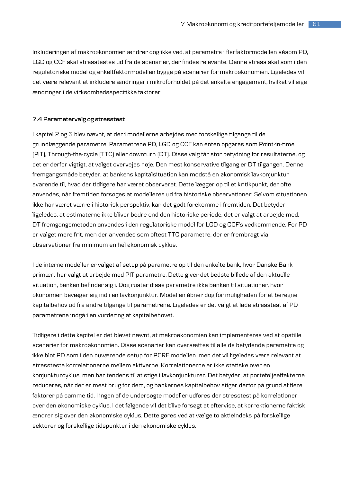Inkluderingen af makroøkonomien ændrer dog ikke ved, at parametre i flerfaktormodellen såsom PD, LGD og CCF skal stresstestes ud fra de scenarier, der findes relevante. Denne stress skal som i den regulatoriske model og enkeltfaktormodellen bygge på scenarier for makroøkonomien. Ligeledes vil det være relevant at inkludere ændringer i mikroforholdet på det enkelte engagement, hvilket vil sige ændringer i de virksomhedsspecifikke faktorer.

#### **7.4 Parametervalg og stresstest**

I kapitel 2 og 3 blev nævnt, at der i modellerne arbejdes med forskellige tilgange til de grundlæggende parametre. Parametrene PD, LGD og CCF kan enten opgøres som Point-in-time (PIT), Through-the-cycle (TTC) eller downturn (DT). Disse valg får stor betydning for resultaterne, og det er derfor vigtigt, at valget overvejes nøje. Den mest konservative tilgang er DT tilgangen. Denne fremgangsmåde betyder, at bankens kapitalsituation kan modstå en økonomisk lavkonjunktur svarende til, hvad der tidligere har været observeret. Dette lægger op til et kritikpunkt, der ofte anvendes, når fremtiden forsøges at modelleres ud fra historiske observationer: Selvom situationen ikke har været værre i historisk perspektiv, kan det godt forekomme i fremtiden. Det betyder ligeledes, at estimaterne ikke bliver bedre end den historiske periode, det er valgt at arbejde med. DT fremgangsmetoden anvendes i den regulatoriske model for LGD og CCF's vedkommende. For PD er valget mere frit, men der anvendes som oftest TTC parametre, der er frembragt via observationer fra minimum en hel økonomisk cyklus.

I de interne modeller er valget af setup på parametre op til den enkelte bank, hvor Danske Bank primært har valgt at arbejde med PIT parametre. Dette giver det bedste billede af den aktuelle situation, banken befinder sig i. Dog ruster disse parametre ikke banken til situationer, hvor økonomien bevæger sig ind i en lavkonjunktur. Modellen åbner dog for muligheden for at beregne kapitalbehov ud fra andre tilgange til parametrene. Ligeledes er det valgt at lade stresstest af PD parametrene indgå i en vurdering af kapitalbehovet.

Tidligere i dette kapitel er det blevet nævnt, at makroøkonomien kan implementeres ved at opstille scenarier for makroøkonomien. Disse scenarier kan oversættes til alle de betydende parametre og ikke blot PD som i den nuværende setup for PCRE modellen. men det vil ligeledes være relevant at stressteste korrelationerne mellem aktiverne. Korrelationerne er ikke statiske over en konjunkturcyklus, men har tendens til at stige i lavkonjunkturer. Det betyder, at porteføljeeffekterne reduceres, når der er mest brug for dem, og bankernes kapitalbehov stiger derfor på grund af flere faktorer på samme tid. I ingen af de undersøgte modeller udføres der stresstest på korrelationer over den økonomiske cyklus. I det følgende vil det blive forsøgt at eftervise, at korrektionerne faktisk ændrer sig over den økonomiske cyklus. Dette gøres ved at vælge to aktieindeks på forskellige sektorer og forskellige tidspunkter i den økonomiske cyklus.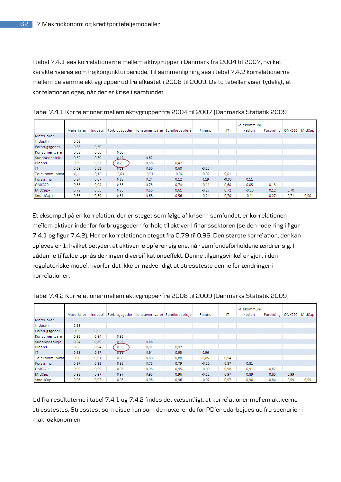I tabel 7.4.1 ses korrelationerne mellem aktivgrupper i Danmark fra 2004 til 2007, hvilket karakteriseres som højkonjunkturperiode. Til sammenligning ses i tabel 7.4.2 korrelationerne mellem de samme aktivgrupper ud fra afkastet i 2008 til 2009. De to tabeller viser tydeligt, at korrelationen øges, når der er krise i samfundet.

|                | Materialer |      |         | Industri Forbrugsgoder Konsumentvarer Sundhedspleje |         | Finans  | IΤ      | Telekommuni<br>kation | Forsyning   OMXC20 |      | MidCap |
|----------------|------------|------|---------|-----------------------------------------------------|---------|---------|---------|-----------------------|--------------------|------|--------|
| Materialer     |            |      |         |                                                     |         |         |         |                       |                    |      |        |
| Industri       | 0,52       |      |         |                                                     |         |         |         |                       |                    |      |        |
| Forbrugsgoder  | 0,63       | 0,50 |         |                                                     |         |         |         |                       |                    |      |        |
| Konsumentvarer | 0,58       | 0.66 | 0.60    |                                                     |         |         |         |                       |                    |      |        |
| Sundhedspleje  | 0,62       | 0,59 | 0.47    | 0,62                                                |         |         |         |                       |                    |      |        |
| <b>Finans</b>  | 0,59       | 0,52 | 0,79    | 0,58                                                | 0,47    |         |         |                       |                    |      |        |
| IT             | 0,39       | 0,53 | 0,59    | 0,60                                                | 0,60    | $-0,15$ |         |                       |                    |      |        |
| Telekommunikat | $-0.11$    | 0,12 | $-0.03$ | $-0.01$                                             | $-0,04$ | $-0,02$ | 0.01    |                       |                    |      |        |
| Forsyning      | 0.24       | 0,07 | 0,12    | 0,24                                                | 0,12    | 0,19    | $-0.05$ | 0,11                  |                    |      |        |
| OMXC20         | 0,63       | 0,94 | 0,65    | 0,73                                                | 0,74    | $-0.11$ | 0,60    | 0,05                  | 0,13               |      |        |
| MidCap+        | 0,72       | 0,56 | 0,85    | 0,66                                                | 0,61    | $-0,27$ | 0,72    | $-0,10$               | 0,12               | 0,70 |        |
| SmallCap+      | 0.63       | 0.59 | 0.81    | 0.68                                                | 0.56    | $-0.24$ | 0.70    | $-0.14$               | 0.27               | 0.71 | 0,90   |

Tabel 7.4.1 Korrelationer mellem aktivgrupper fra 2004 til 2007 (Danmarks Statistik 2009)

Et eksempel på en korrelation, der er steget som følge af krisen i samfundet, er korrelationen mellem aktiver indenfor forbrugsgoder i forhold til aktiver i finanssektoren (se den røde ring i figur 7.4.1 og figur 7.4.2). Her er korrelationen steget fra 0,79 til 0,96. Den største korrelation, der kan opleves er 1, hvilket betyder, at aktiverne opfører sig ens, når samfundsforholdene ændrer sig. I sådanne tilfælde opnås der ingen diversifikationseffekt. Denne tilgangsvinkel er gjort i den regulatoriske model, hvorfor det ikke er nødvendigt at stressteste denne for ændringer i korrelationer.

|                |            |      |      |                                                     |      |         |      | Telekommuni |                    |      |        |
|----------------|------------|------|------|-----------------------------------------------------|------|---------|------|-------------|--------------------|------|--------|
|                | Materialer |      |      | Industri Forbrugsgoder Konsumentvarer Sundhedspleje |      | Finans  | IΤ   | kation      | Forsyning   OMXC20 |      | MidCap |
| Materialer     |            |      |      |                                                     |      |         |      |             |                    |      |        |
| Industri       | 0,98       |      |      |                                                     |      |         |      |             |                    |      |        |
| Forbrugsgoder  | 0,96       | 0.95 |      |                                                     |      |         |      |             |                    |      |        |
| Konsumentvarer | 0.95       | 0.94 | 0.95 |                                                     |      |         |      |             |                    |      |        |
| Sundhedspleje  | 0.94       | 0.89 | 0.95 | 0.88                                                |      |         |      |             |                    |      |        |
| Finans         | 0,96       | 0,94 | 0,96 | 0,97                                                | 0,92 |         |      |             |                    |      |        |
| IT             | 0,98       | 0,97 | 0,96 | 0,94                                                | 0,95 | 0,96    |      |             |                    |      |        |
| Telekommunikat | 0,90       | 0,91 | 0,88 | 0,88                                                | 0,88 | 0,05    | 0.94 |             |                    |      |        |
| Forsyning      | 0.87       | 0.91 | 0,82 | 0.75                                                | 0.79 | $-0.10$ | 0.87 | 0.81        |                    |      |        |
| OMXC20         | 0.99       | 0.99 | 0.98 | 0.96                                                | 0,95 | $-0,09$ | 0.98 | 0.91        | 0.87               |      |        |
| MidCap         | 0.98       | 0,97 | 0.97 | 0.95                                                | 0.96 | $-0.12$ | 0,97 | 0.89        | 0.85               | 0,99 |        |
| SmallCap       | 0.98       | 0.97 | 0.98 | 0.96                                                | 0,96 | $-0.07$ | 0.97 | 0.90        | 0.84               | 0.99 | 0,99   |

Tabel 7.4.2 Korrelationer mellem aktivgrupper fra 2008 til 2009 (Danmarks Statistik 2009)

Ud fra resultaterne i tabel 7.4.1 og 7.4.2 findes det væsentligt, at korrelationer mellem aktiverne stresstestes. Stresstest som disse kan som de nuværende for PD'er udarbejdes ud fra scenarier i makroøkonomien.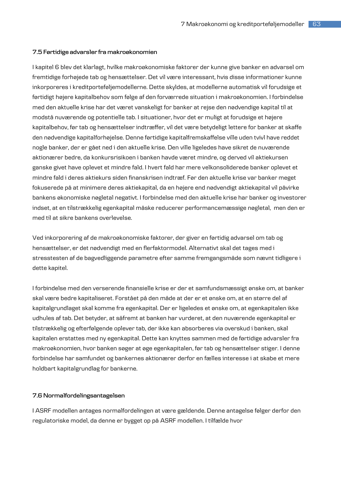#### **7.5 Førtidige advarsler fra makroøkonomien**

I kapitel 6 blev det klarlagt, hvilke makroøkonomiske faktorer der kunne give banker en advarsel om fremtidige forhøjede tab og hensættelser. Det vil være interessant, hvis disse informationer kunne inkorporeres i kreditporteføljemodellerne. Dette skyldes, at modellerne automatisk vil forudsige et førtidigt højere kapitalbehov som følge af den forværrede situation i makroøkonomien. I forbindelse med den aktuelle krise har det været vanskeligt for banker at rejse den nødvendige kapital til at modstå nuværende og potentielle tab. I situationer, hvor det er muligt at forudsige et højere kapitalbehov, før tab og hensættelser indtræffer, vil det være betydeligt lettere for banker at skaffe den nødvendige kapitalforhøjelse. Denne førtidige kapitalfremskaffelse ville uden tvivl have reddet nogle banker, der er gået ned i den aktuelle krise. Den ville ligeledes have sikret de nuværende aktionærer bedre, da konkursrisikoen i banken havde været mindre, og derved vil aktiekursen ganske givet have oplevet et mindre fald. I hvert fald har mere velkonsoliderede banker oplevet et mindre fald i deres aktiekurs siden finanskrisen indtræf. Før den aktuelle krise var banker meget fokuserede på at minimere deres aktiekapital, da en højere end nødvendigt aktiekapital vil påvirke bankens økonomiske nøgletal negativt. I forbindelse med den aktuelle krise har banker og investorer indset, at en tilstrækkelig egenkapital måske reducerer performancemæssige nøgletal, men den er med til at sikre bankens overlevelse.

Ved inkorporering af de makroøkonomiske faktorer, der giver en førtidig advarsel om tab og hensættelser, er det nødvendigt med en flerfaktormodel. Alternativt skal det tages med i stresstesten af de bagvedliggende parametre efter samme fremgangsmåde som nævnt tidligere i dette kapitel.

I forbindelse med den verserende finansielle krise er der et samfundsmæssigt ønske om, at banker skal være bedre kapitaliseret. Forstået på den måde at der er et ønske om, at en større del af kapitalgrundlaget skal komme fra egenkapital. Der er ligeledes et ønske om, at egenkapitalen ikke udhules af tab. Det betyder, at såfremt at banken har vurderet, at den nuværende egenkapital er tilstrækkelig og efterfølgende oplever tab, der ikke kan absorberes via overskud i banken, skal kapitalen erstattes med ny egenkapital. Dette kan knyttes sammen med de førtidige advarsler fra makroøkonomien, hvor banken søger at øge egenkapitalen, før tab og hensættelser stiger. I denne forbindelse har samfundet og bankernes aktionærer derfor en fælles interesse i at skabe et mere holdbart kapitalgrundlag for bankerne.

#### **7.6 Normalfordelingsantagelsen**

I ASRF modellen antages normalfordelingen at være gældende. Denne antagelse følger derfor den regulatoriske model, da denne er bygget op på ASRF modellen. I tilfælde hvor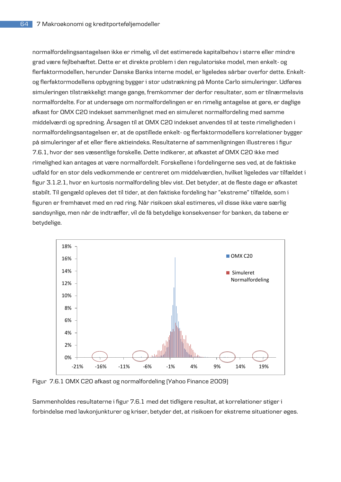normalfordelingsantagelsen ikke er rimelig, vil det estimerede kapitalbehov i større eller mindre grad være fejlbehæftet. Dette er et direkte problem i den regulatoriske model, men enkelt- og flerfaktormodellen, herunder Danske Banks interne model, er ligeledes sårbar overfor dette. Enkeltog flerfaktormodellens opbygning bygger i stor udstrækning på Monte Carlo simuleringer. Udføres simuleringen tilstrækkeligt mange gange, fremkommer der derfor resultater, som er tilnærmelsvis normalfordelte. For at undersøge om normalfordelingen er en rimelig antagelse at gøre, er daglige afkast for OMX C20 indekset sammenlignet med en simuleret normalfordeling med samme middelværdi og spredning. Årsagen til at OMX C20 indekset anvendes til at teste rimeligheden i normalfordelingsantagelsen er, at de opstillede enkelt- og flerfaktormodellers korrelationer bygger på simuleringer af et eller flere aktieindeks. Resultaterne af sammenligningen illustreres i figur 7.6.1, hvor der ses væsentlige forskelle. Dette indikerer, at afkastet af OMX C20 ikke med rimelighed kan antages at være normalfordelt. Forskellene i fordelingerne ses ved, at de faktiske udfald for en stor dels vedkommende er centreret om middelværdien, hvilket ligeledes var tilfældet i figur 3.1.2.1, hvor en kurtosis normalfordeling blev vist. Det betyder, at de fleste dage er afkastet stabilt. Til gengæld opleves det til tider, at den faktiske fordeling har "ekstreme" tilfælde, som i figuren er fremhævet med en rød ring. Når risikoen skal estimeres, vil disse ikke være særlig sandsynlige, men når de indtræffer, vil de få betydelige konsekvenser for banken, da tabene er betydelige.



Figur 7.6.1 OMX C20 afkast og normalfordeling (Yahoo Finance 2009)

Sammenholdes resultaterne i figur 7.6.1 med det tidligere resultat, at korrelationer stiger i forbindelse med lavkonjunkturer og kriser, betyder det, at risikoen for ekstreme situationer øges.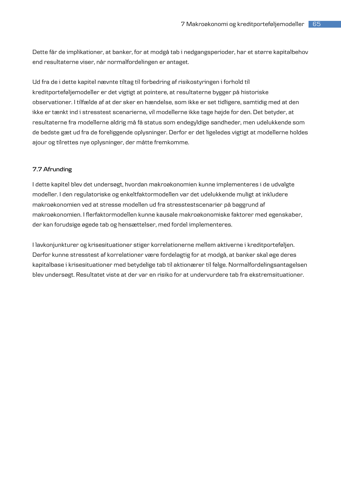Dette får de implikationer, at banker, for at modgå tab i nedgangsperioder, har et større kapitalbehov end resultaterne viser, når normalfordelingen er antaget.

Ud fra de i dette kapitel nævnte tiltag til forbedring af risikostyringen i forhold til kreditporteføljemodeller er det vigtigt at pointere, at resultaterne bygger på historiske observationer. I tilfælde af at der sker en hændelse, som ikke er set tidligere, samtidig med at den ikke er tænkt ind i stresstest scenarierne, vil modellerne ikke tage højde for den. Det betyder, at resultaterne fra modellerne aldrig må få status som endegyldige sandheder, men udelukkende som de bedste gæt ud fra de foreliggende oplysninger. Derfor er det ligeledes vigtigt at modellerne holdes ajour og tilrettes nye oplysninger, der måtte fremkomme.

### **7.7 Afrunding**

I dette kapitel blev det undersøgt, hvordan makroøkonomien kunne implementeres i de udvalgte modeller. I den regulatoriske og enkeltfaktormodellen var det udelukkende muligt at inkludere makroøkonomien ved at stresse modellen ud fra stresstestscenarier på baggrund af makroøkonomien. I flerfaktormodellen kunne kausale makroøkonomiske faktorer med egenskaber, der kan forudsige øgede tab og hensættelser, med fordel implementeres.

I lavkonjunkturer og krisesituationer stiger korrelationerne mellem aktiverne i kreditporteføljen. Derfor kunne stresstest af korrelationer være fordelagtig for at modgå, at banker skal øge deres kapitalbase i krisesituationer med betydelige tab til aktionærer til følge. Normalfordelingsantagelsen blev undersøgt. Resultatet viste at der var en risiko for at undervurdere tab fra ekstremsituationer.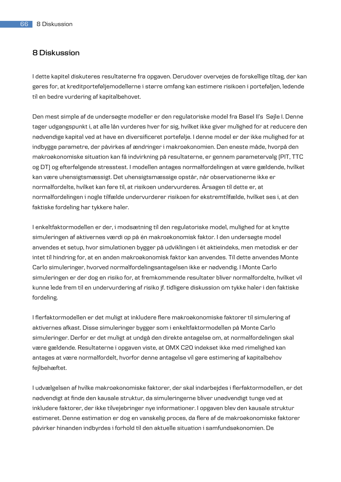# **8 Diskussion**

I dette kapitel diskuteres resultaterne fra opgaven. Derudover overvejes de forskellige tiltag, der kan gøres for, at kreditporteføljemodellerne i større omfang kan estimere risikoen i porteføljen, ledende til en bedre vurdering af kapitalbehovet.

Den mest simple af de undersøgte modeller er den regulatoriske model fra Basel II's Søjle I. Denne tager udgangspunkt i, at alle lån vurderes hver for sig, hvilket ikke giver mulighed for at reducere den nødvendige kapital ved at have en diversificeret portefølje. I denne model er der ikke mulighed for at indbygge parametre, der påvirkes af ændringer i makroøkonomien. Den eneste måde, hvorpå den makroøkonomiske situation kan få indvirkning på resultaterne, er gennem parametervalg (PIT, TTC og DT) og efterfølgende stresstest. I modellen antages normalfordelingen at være gældende, hvilket kan være uhensigtsmæssigt. Det uhensigtsmæssige opstår, når observationerne ikke er normalfordelte, hvilket kan føre til, at risikoen undervurderes. Årsagen til dette er, at normalfordelingen i nogle tilfælde undervurderer risikoen for ekstremtilfælde, hvilket ses i, at den faktiske fordeling har tykkere haler.

I enkeltfaktormodellen er der, i modsætning til den regulatoriske model, mulighed for at knytte simuleringen af aktivernes værdi op på én makroøkonomisk faktor. I den undersøgte model anvendes et setup, hvor simulationen bygger på udviklingen i ét aktieindeks, men metodisk er der intet til hindring for, at en anden makroøkonomisk faktor kan anvendes. Til dette anvendes Monte Carlo simuleringer, hvorved normalfordelingsantagelsen ikke er nødvendig. I Monte Carlo simuleringen er der dog en risiko for, at fremkommende resultater bliver normalfordelte, hvilket vil kunne lede frem til en undervurdering af risiko jf. tidligere diskussion om tykke haler i den faktiske fordeling.

I flerfaktormodellen er det muligt at inkludere flere makroøkonomiske faktorer til simulering af aktivernes afkast. Disse simuleringer bygger som i enkeltfaktormodellen på Monte Carlo simuleringer. Derfor er det muligt at undgå den direkte antagelse om, at normalfordelingen skal være gældende. Resultaterne i opgaven viste, at OMX C20 indekset ikke med rimelighed kan antages at være normalfordelt, hvorfor denne antagelse vil gøre estimering af kapitalbehov fejlbehæftet.

I udvælgelsen af hvilke makroøkonomiske faktorer, der skal indarbejdes i flerfaktormodellen, er det nødvendigt at finde den kausale struktur, da simuleringerne bliver unødvendigt tunge ved at inkludere faktorer, der ikke tilvejebringer nye informationer. I opgaven blev den kausale struktur estimeret. Denne estimation er dog en vanskelig proces, da flere af de makroøkonomiske faktorer påvirker hinanden indbyrdes i forhold til den aktuelle situation i samfundsøkonomien. De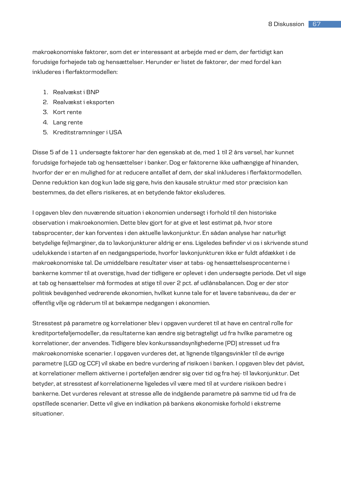makroøkonomiske faktorer, som det er interessant at arbejde med er dem, der førtidigt kan forudsige forhøjede tab og hensættelser. Herunder er listet de faktorer, der med fordel kan inkluderes i flerfaktormodellen:

- 1. Realvækst i BNP
- 2. Realvækst i eksporten
- 3. Kort rente
- 4. Lang rente
- 5. Kreditstramninger i USA

Disse 5 af de 11 undersøgte faktorer har den egenskab at de, med 1 til 2 års varsel, har kunnet forudsige forhøjede tab og hensættelser i banker. Dog er faktorerne ikke uafhængige af hinanden, hvorfor der er en mulighed for at reducere antallet af dem, der skal inkluderes i flerfaktormodellen. Denne reduktion kan dog kun lade sig gøre, hvis den kausale struktur med stor præcision kan bestemmes, da det ellers risikeres, at en betydende faktor eksluderes.

I opgaven blev den nuværende situation i økonomien undersøgt i forhold til den historiske observation i makroøkonomien. Dette blev gjort for at give et løst estimat på, hvor store tabsprocenter, der kan forventes i den aktuelle lavkonjunktur. En sådan analyse har naturligt betydelige fejlmarginer, da to lavkonjunkturer aldrig er ens. Ligeledes befinder vi os i skrivende stund udelukkende i starten af en nedgangsperiode, hvorfor lavkonjunkturen ikke er fuldt afdækket i de makroøkonomiske tal. De umiddelbare resultater viser at tabs- og hensættelsesprocenterne i bankerne kommer til at overstige, hvad der tidligere er oplevet i den undersøgte periode. Det vil sige at tab og hensættelser må formodes at stige til over 2 pct. af udlånsbalancen. Dog er der stor politisk bevågenhed vedrørende økonomien, hvilket kunne tale for et lavere tabsniveau, da der er offentlig vilje og råderum til at bekæmpe nedgangen i økonomien.

Stresstest på parametre og korrelationer blev i opgaven vurderet til at have en central rolle for kreditporteføljemodeller, da resultaterne kan ændre sig betragteligt ud fra hvilke parametre og korrelationer, der anvendes. Tidligere blev konkurssandsynlighederne (PD) stresset ud fra makroøkonomiske scenarier. I opgaven vurderes det, at lignende tilgangsvinkler til de øvrige parametre (LGD og CCF) vil skabe en bedre vurdering af risikoen i banken. I opgaven blev det påvist, at korrelationer mellem aktiverne i porteføljen ændrer sig over tid og fra høj- til lavkonjunktur. Det betyder, at stresstest af korrelationerne ligeledes vil være med til at vurdere risikoen bedre i bankerne. Det vurderes relevant at stresse alle de indgående parametre på samme tid ud fra de opstillede scenarier. Dette vil give en indikation på bankens økonomiske forhold i ekstreme situationer.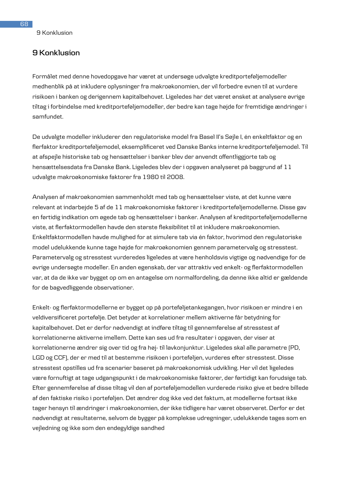# **9 Konklusion**

Formålet med denne hovedopgave har været at undersøge udvalgte kreditporteføljemodeller medhenblik på at inkludere oplysninger fra makroøkonomien, der vil forbedre evnen til at vurdere risikoen i banken og derigennem kapitalbehovet. Ligeledes har det været ønsket at analysere øvrige tiltag i forbindelse med kreditporteføljemodeller, der bedre kan tage højde for fremtidige ændringer i samfundet.

De udvalgte modeller inkluderer den regulatoriske model fra Basel II's Søjle I, én enkeltfaktor og en flerfaktor kreditporteføljemodel, eksemplificeret ved Danske Banks interne kreditporteføljemodel. Til at afspejle historiske tab og hensættelser i banker blev der anvendt offentliggjorte tab og hensættelsesdata fra Danske Bank. Ligeledes blev der i opgaven analyseret på baggrund af 11 udvalgte makroøkonomiske faktorer fra 1980 til 2008.

Analysen af makroøkonomien sammenholdt med tab og hensættelser viste, at det kunne være relevant at indarbejde 5 af de 11 makroøkonomiske faktorer i kreditporteføljemodellerne. Disse gav en førtidig indikation om øgede tab og hensættelser i banker. Analysen af kreditporteføljemodellerne viste, at flerfaktormodellen havde den største fleksibilitet til at inkludere makroøkonomien. Enkeltfaktormodellen havde mulighed for at simulere tab via én faktor, hvorimod den regulatoriske model udelukkende kunne tage højde for makroøkonomien gennem parametervalg og stresstest. Parametervalg og stresstest vurderedes ligeledes at være henholdsvis vigtige og nødvendige for de øvrige undersøgte modeller. En anden egenskab, der var attraktiv ved enkelt- og flerfaktormodellen var, at da de ikke var bygget op om en antagelse om normalfordeling, da denne ikke altid er gældende for de bagvedliggende observationer.

Enkelt- og flerfaktormodellerne er bygget op på porteføljetankegangen, hvor risikoen er mindre i en veldiversificeret portefølje. Det betyder at korrelationer mellem aktiverne får betydning for kapitalbehovet. Det er derfor nødvendigt at indføre tiltag til gennemførelse af stresstest af korrelationerne aktiverne imellem. Dette kan ses ud fra resultater i opgaven, der viser at korrelationerne ændrer sig over tid og fra høj- til lavkonjunktur. Ligeledes skal alle parametre (PD, LGD og CCF), der er med til at bestemme risikoen i porteføljen, vurderes efter stresstest. Disse stresstest opstilles ud fra scenarier baseret på makroøkonomisk udvikling. Her vil det ligeledes være fornuftigt at tage udgangspunkt i de makroøkonomiske faktorer, der førtidigt kan forudsige tab. Efter gennemførelse af disse tiltag vil den af porteføljemodellen vurderede risiko give et bedre billede af den faktiske risiko i porteføljen. Det ændrer dog ikke ved det faktum, at modellerne fortsat ikke tager hensyn til ændringer i makroøkonomien, der ikke tidligere har været observeret. Derfor er det nødvendigt at resultaterne, selvom de bygger på komplekse udregninger, udelukkende tages som en vejledning og ikke som den endegyldige sandhed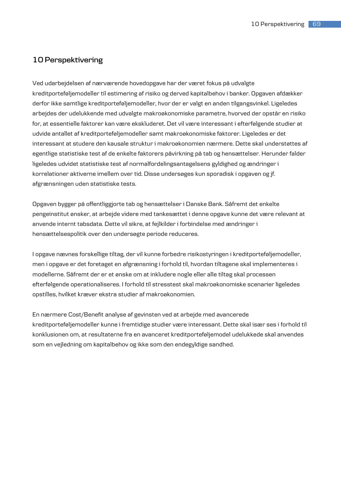# **10 Perspektivering**

Ved udarbejdelsen af nærværende hovedopgave har der været fokus på udvalgte kreditporteføljemodeller til estimering af risiko og derved kapitalbehov i banker. Opgaven afdækker derfor ikke samtlige kreditporteføljemodeller, hvor der er valgt en anden tilgangsvinkel. Ligeledes arbejdes der udelukkende med udvalgte makroøkonomiske parametre, hvorved der opstår en risiko for, at essentielle faktorer kan være ekskluderet. Det vil være interessant i efterfølgende studier at udvide antallet af kreditporteføljemodeller samt makroøkonomiske faktorer. Ligeledes er det interessant at studere den kausale struktur i makroøkonomien nærmere. Dette skal understøttes af egentlige statistiske test af de enkelte faktorers påvirkning på tab og hensættelser. Herunder falder ligeledes udvidet statistiske test af normalfordelingsantagelsens gyldighed og ændringer i korrelationer aktiverne imellem over tid. Disse undersøges kun sporadisk i opgaven og jf. afgrænsningen uden statistiske tests.

Opgaven bygger på offentliggjorte tab og hensættelser i Danske Bank. Såfremt det enkelte pengeinstitut ønsker, at arbejde videre med tankesættet i denne opgave kunne det være relevant at anvende internt tabsdata. Dette vil sikre, at fejlkilder i forbindelse med ændringer i hensættelsespolitik over den undersøgte periode reduceres.

I opgave nævnes forskellige tiltag, der vil kunne forbedre risikostyringen i kreditporteføljemodeller, men i opgave er det foretaget en afgrænsning i forhold til, hvordan tiltagene skal implementeres i modellerne. Såfremt der er et ønske om at inkludere nogle eller alle tiltag skal processen efterfølgende operationaliseres. I forhold til stresstest skal makroøkonomiske scenarier ligeledes opstilles, hvilket kræver ekstra studier af makroøkonomien.

En nærmere Cost/Benefit analyse af gevinsten ved at arbejde med avancerede kreditporteføljemodeller kunne i fremtidige studier være interessant. Dette skal især ses i forhold til konklusionen om, at resultaterne fra en avanceret kreditporteføljemodel udelukkede skal anvendes som en vejledning om kapitalbehov og ikke som den endegyldige sandhed.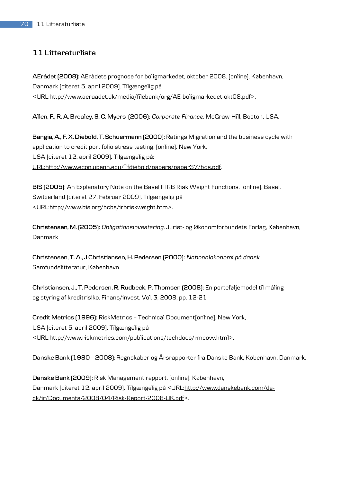# **11 Litteraturliste**

**AErådet (2008):** AErådets prognose for boligmarkedet, oktober 2008. [online]. København, Danmark [citeret 5. april 2009]. Tilgængelig på <UR[L:http://www.aeraadet.dk/media/filebank/org/AE-boligmarkedet-okt08.pdf>](http://www.aeraadet.dk/media/filebank/org/AE-boligmarkedet-okt08.pdf).

**Allen, F., R. A. Brealey, S. C. Myers (2006):** *Corporate Finance*. McGraw-Hill, Boston, USA.

**Bangia, A., F. X. Diebold, T. Schuermann (2000):** Ratings Migration and the business cycle with application to credit port folio stress testing. [online]. New York, USA [citeret 12. april 2009]. Tilgængelig på: [URL:http://www.econ.upenn.edu/~fdiebold/papers/paper37/bds.pdf.](http://www.econ.upenn.edu/~fdiebold/papers/paper37/bds.pdf)

**BIS (2005)**: An Explanatory Note on the Basel II IRB Risk Weight Functions. [online]. Basel, Switzerland [citeret 27. Februar 2009]. Tilgængelig på <URL:http://www.bis.org/bcbs/irbriskweight.htm>.

**Christensen, M. (2005):** *Obligationsinvestering.* Jurist- og Økonomforbundets Forlag, København, Danmark

**Christensen, T. A., J Christiansen, H. Pedersen (2000):** *Nationaløkonomi på dansk*. Samfundslitteratur, København.

**Christiansen, J., T. Pedersen, R. Rudbeck, P. Thomsen (2008):** En porteføljemodel til måling og styring af kreditrisiko. Finans/invest. Vol. 3, 2008, pp. 12-21

**Credit Metrics (1996):** RiskMetrics – Technical Document[online]. New York, USA [citeret 5. april 2009]. Tilgængelig på <URL:http://www.riskmetrics.com/publications/techdocs/rmcovv.html>.

**Danske Bank (1980 – 2008):** Regnskaber og Årsrapporter fra Danske Bank, København, Danmark.

**Danske Bank (2009):** Risk Management rapport. [online]. København, Danmark [citeret 12. april 2009]. Tilgængelig på <URL[:http://www.danskebank.com/da](http://www.danskebank.com/da-dk/ir/Documents/2008/Q4/Risk-Report-2008-UK.pdf)[dk/ir/Documents/2008/Q4/Risk-Report-2008-UK.pdf>](http://www.danskebank.com/da-dk/ir/Documents/2008/Q4/Risk-Report-2008-UK.pdf).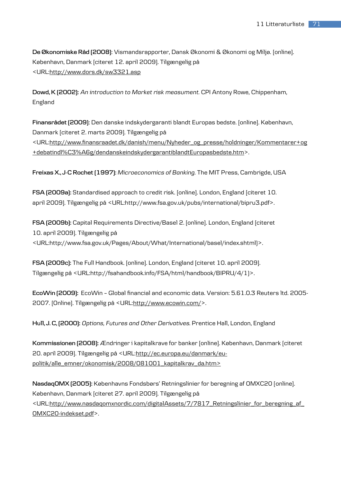**De Økonomiske Råd (2008)**: Vismandsrapporter, Dansk Økonomi & Økonomi og Miljø. [online]. København, Danmark [citeret 12. april 2009]. Tilgængelig på <UR[L:http://www.dors.dk/sw3321.asp](http://www.dors.dk/sw3321.asp)

**Dowd, K (2002):** *An introduction to Market risk measument.* CPI Antony Rowe, Chippenham, England

**Finansrådet (2009)**: Den danske indskydergaranti blandt Europas bedste. [online]. København, Danmark [citeret 2. marts 2009]. Tilgængelig på

<UR[L:http://www.finansraadet.dk/danish/menu/Nyheder\\_og\\_presse/holdninger/Kommentarer+og](http://www.finansraadet.dk/danish/menu/Nyheder_og_presse/holdninger/Kommentarer+og+debatindl%C3%A6g/dendanskeindskydergarantiblandtEuropasbedste.htm) [+debatindl%C3%A6g/dendanskeindskydergarantiblandtEuropasbedste.htm>](http://www.finansraadet.dk/danish/menu/Nyheder_og_presse/holdninger/Kommentarer+og+debatindl%C3%A6g/dendanskeindskydergarantiblandtEuropasbedste.htm).

**Freixas X., J-C Rochet (1997):** *Microeconomics of Banking*. The MIT Press, Cambrigde, USA

**FSA (2009a):** Standardised approach to credit risk. [online]. London, England [citeret 10. april 2009]. Tilgængelig på <URL:http://www.fsa.gov.uk/pubs/international/bipru3.pdf>.

**FSA (2009b):** Capital Requirements Directive/Basel 2. [online]. London, England [citeret 10. april 2009]. Tilgængelig på <URL:http://www.fsa.gov.uk/Pages/About/What/International/basel/index.shtml)>.

**FSA (2009c):** The Full Handbook. [online]. London, England [citeret 10. april 2009]. Tilgængelig på <URL:http://fsahandbook.info/FSA/html/handbook/BIPRU/4/1)>.

**EcoWin (2009):** EcoWin – Global financial and economic data. Version: 5.61.0.3 Reuters ltd. 2005- 2007. [Online]. Tilgængelig på <UR[L:http://www.ecowin.com/>](http://www.ecowin.com/).

**Hull, J. C, (2000):** *Options, Futures and Other Derivatives*. Prentice Hall, London, England

**Kommissionen (2008):** Ændringer i kapitalkrave for banker [online]. København, Danmark [citeret 20. april 2009]. Tilgængelig på <URL:http://ec.europa.eu/danmark/eupolitik/alle\_emner/okonomisk/2008/081001\_kapitalkrav\_da.htm>

**NasdaqOMX (2005):** Københavns Fondsbørs' Retningslinier for beregning af OMXC20 [online]. København, Danmark [citeret 27. april 2009]. Tilgængelig på <UR[L:http://www.nasdaqomxnordic.com/digitalAssets/7/7817\\_Retningslinier\\_for\\_beregning\\_af\\_](http://www.nasdaqomxnordic.com/digitalAssets/7/7817_Retningslinier_for_beregning_af_OMXC20-indekset.pdf) [OMXC20-indekset.pdf>](http://www.nasdaqomxnordic.com/digitalAssets/7/7817_Retningslinier_for_beregning_af_OMXC20-indekset.pdf).